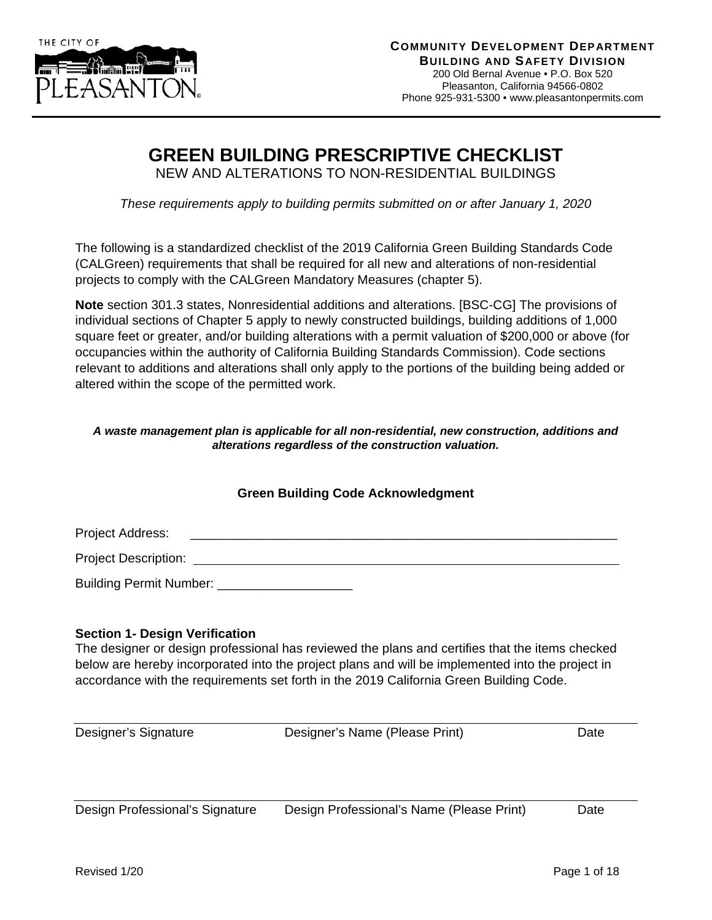

## **GREEN BUILDING PRESCRIPTIVE CHECKLIST**

NEW AND ALTERATIONS TO NON-RESIDENTIAL BUILDINGS

*These requirements apply to building permits submitted on or after January 1, 2020*

The following is a standardized checklist of the 2019 California Green Building Standards Code (CALGreen) requirements that shall be required for all new and alterations of non-residential projects to comply with the CALGreen Mandatory Measures (chapter 5).

**Note** section 301.3 states, Nonresidential additions and alterations. [BSC-CG] The provisions of individual sections of Chapter 5 apply to newly constructed buildings, building additions of 1,000 square feet or greater, and/or building alterations with a permit valuation of \$200,000 or above (for occupancies within the authority of California Building Standards Commission). Code sections relevant to additions and alterations shall only apply to the portions of the building being added or altered within the scope of the permitted work.

#### *A waste management plan is applicable for all non-residential, new construction, additions and alterations regardless of the construction valuation.*

### **Green Building Code Acknowledgment**

Project Address:

Project Description:

Building Permit Number:

#### **Section 1- Design Verification**

The designer or design professional has reviewed the plans and certifies that the items checked below are hereby incorporated into the project plans and will be implemented into the project in accordance with the requirements set forth in the 2019 California Green Building Code.

Designer's Signature Designer's Name (Please Print) Date

Design Professional's Signature Design Professional's Name (Please Print) Date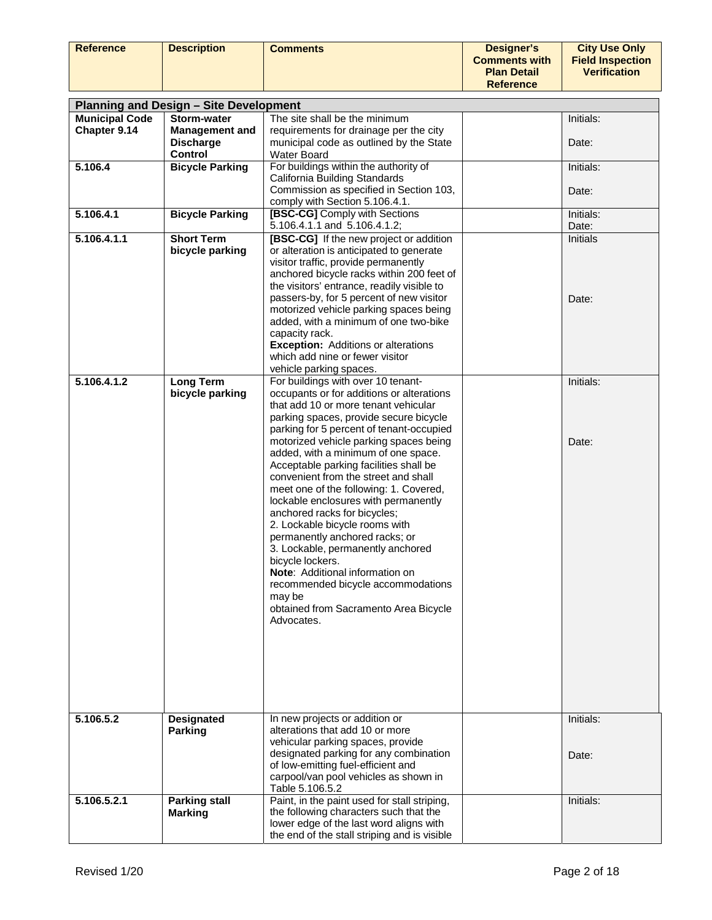| <b>Reference</b>      | <b>Description</b>                                           | <b>Comments</b>                                                                                                                                                                                                                                                                                                                                                                                                                                                                                                                                                                                                                                                                                                                            | <b>Designer's</b><br><b>Comments with</b><br><b>Plan Detail</b><br><b>Reference</b> | <b>City Use Only</b><br><b>Field Inspection</b><br><b>Verification</b> |
|-----------------------|--------------------------------------------------------------|--------------------------------------------------------------------------------------------------------------------------------------------------------------------------------------------------------------------------------------------------------------------------------------------------------------------------------------------------------------------------------------------------------------------------------------------------------------------------------------------------------------------------------------------------------------------------------------------------------------------------------------------------------------------------------------------------------------------------------------------|-------------------------------------------------------------------------------------|------------------------------------------------------------------------|
|                       |                                                              |                                                                                                                                                                                                                                                                                                                                                                                                                                                                                                                                                                                                                                                                                                                                            |                                                                                     |                                                                        |
| <b>Municipal Code</b> | <b>Planning and Design - Site Development</b><br>Storm-water | The site shall be the minimum                                                                                                                                                                                                                                                                                                                                                                                                                                                                                                                                                                                                                                                                                                              |                                                                                     | Initials:                                                              |
| Chapter 9.14          | <b>Management and</b>                                        | requirements for drainage per the city                                                                                                                                                                                                                                                                                                                                                                                                                                                                                                                                                                                                                                                                                                     |                                                                                     |                                                                        |
|                       | <b>Discharge</b><br><b>Control</b>                           | municipal code as outlined by the State<br><b>Water Board</b>                                                                                                                                                                                                                                                                                                                                                                                                                                                                                                                                                                                                                                                                              |                                                                                     | Date:                                                                  |
| 5.106.4               | <b>Bicycle Parking</b>                                       | For buildings within the authority of                                                                                                                                                                                                                                                                                                                                                                                                                                                                                                                                                                                                                                                                                                      |                                                                                     | Initials:                                                              |
|                       |                                                              | California Building Standards<br>Commission as specified in Section 103,<br>comply with Section 5.106.4.1.                                                                                                                                                                                                                                                                                                                                                                                                                                                                                                                                                                                                                                 |                                                                                     | Date:                                                                  |
| 5.106.4.1             | <b>Bicycle Parking</b>                                       | [BSC-CG] Comply with Sections                                                                                                                                                                                                                                                                                                                                                                                                                                                                                                                                                                                                                                                                                                              |                                                                                     | Initials:                                                              |
| 5.106.4.1.1           | <b>Short Term</b>                                            | 5.106.4.1.1 and 5.106.4.1.2;<br>[BSC-CG] If the new project or addition                                                                                                                                                                                                                                                                                                                                                                                                                                                                                                                                                                                                                                                                    |                                                                                     | Date:<br>Initials                                                      |
|                       | bicycle parking                                              | or alteration is anticipated to generate<br>visitor traffic, provide permanently<br>anchored bicycle racks within 200 feet of<br>the visitors' entrance, readily visible to<br>passers-by, for 5 percent of new visitor<br>motorized vehicle parking spaces being<br>added, with a minimum of one two-bike<br>capacity rack.<br><b>Exception:</b> Additions or alterations<br>which add nine or fewer visitor<br>vehicle parking spaces.                                                                                                                                                                                                                                                                                                   |                                                                                     | Date:                                                                  |
| 5.106.4.1.2           | <b>Long Term</b>                                             | For buildings with over 10 tenant-                                                                                                                                                                                                                                                                                                                                                                                                                                                                                                                                                                                                                                                                                                         |                                                                                     | Initials:                                                              |
|                       | bicycle parking                                              | occupants or for additions or alterations<br>that add 10 or more tenant vehicular<br>parking spaces, provide secure bicycle<br>parking for 5 percent of tenant-occupied<br>motorized vehicle parking spaces being<br>added, with a minimum of one space.<br>Acceptable parking facilities shall be<br>convenient from the street and shall<br>meet one of the following: 1. Covered,<br>lockable enclosures with permanently<br>anchored racks for bicycles;<br>2. Lockable bicycle rooms with<br>permanently anchored racks; or<br>3. Lockable, permanently anchored<br>bicycle lockers.<br><b>Note:</b> Additional information on<br>recommended bicycle accommodations<br>may be<br>obtained from Sacramento Area Bicycle<br>Advocates. |                                                                                     | Date:                                                                  |
| 5.106.5.2             | <b>Designated</b><br><b>Parking</b>                          | In new projects or addition or<br>alterations that add 10 or more<br>vehicular parking spaces, provide<br>designated parking for any combination<br>of low-emitting fuel-efficient and<br>carpool/van pool vehicles as shown in<br>Table 5.106.5.2                                                                                                                                                                                                                                                                                                                                                                                                                                                                                         |                                                                                     | Initials:<br>Date:                                                     |
| 5.106.5.2.1           | <b>Parking stall</b><br><b>Marking</b>                       | Paint, in the paint used for stall striping,<br>the following characters such that the<br>lower edge of the last word aligns with<br>the end of the stall striping and is visible                                                                                                                                                                                                                                                                                                                                                                                                                                                                                                                                                          |                                                                                     | Initials:                                                              |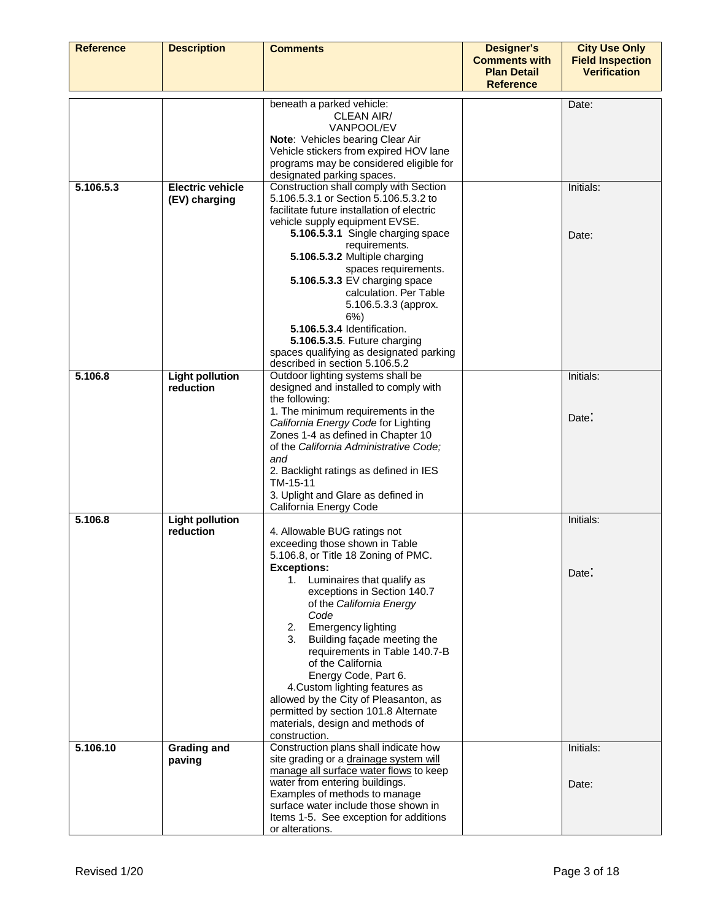| <b>Reference</b> | <b>Description</b>                       | <b>Comments</b>                                                                                                                                                                                                                                                                                                                                                                                                                                                                                                                                           | <b>Designer's</b><br><b>Comments with</b><br><b>Plan Detail</b><br><b>Reference</b> | <b>City Use Only</b><br><b>Field Inspection</b><br><b>Verification</b> |
|------------------|------------------------------------------|-----------------------------------------------------------------------------------------------------------------------------------------------------------------------------------------------------------------------------------------------------------------------------------------------------------------------------------------------------------------------------------------------------------------------------------------------------------------------------------------------------------------------------------------------------------|-------------------------------------------------------------------------------------|------------------------------------------------------------------------|
|                  |                                          | beneath a parked vehicle:<br>CLEAN AIR/<br>VANPOOL/EV<br>Note: Vehicles bearing Clear Air<br>Vehicle stickers from expired HOV lane<br>programs may be considered eligible for<br>designated parking spaces.                                                                                                                                                                                                                                                                                                                                              |                                                                                     | Date:                                                                  |
| 5.106.5.3        | <b>Electric vehicle</b><br>(EV) charging | Construction shall comply with Section<br>5.106.5.3.1 or Section 5.106.5.3.2 to<br>facilitate future installation of electric<br>vehicle supply equipment EVSE.<br>5.106.5.3.1 Single charging space<br>requirements.<br>5.106.5.3.2 Multiple charging<br>spaces requirements.<br>5.106.5.3.3 EV charging space<br>calculation. Per Table<br>5.106.5.3.3 (approx.<br>$6\%$ )<br>5.106.5.3.4 Identification.<br>5.106.5.3.5. Future charging<br>spaces qualifying as designated parking<br>described in section 5.106.5.2                                  |                                                                                     | Initials:<br>Date:                                                     |
| 5.106.8          | <b>Light pollution</b><br>reduction      | Outdoor lighting systems shall be<br>designed and installed to comply with<br>the following:<br>1. The minimum requirements in the<br>California Energy Code for Lighting<br>Zones 1-4 as defined in Chapter 10<br>of the California Administrative Code;<br>and<br>2. Backlight ratings as defined in IES<br>TM-15-11<br>3. Uplight and Glare as defined in<br>California Energy Code                                                                                                                                                                    |                                                                                     | Initials:<br>Date:                                                     |
| 5.106.8          | <b>Light pollution</b><br>reduction      | 4. Allowable BUG ratings not<br>exceeding those shown in Table<br>5.106.8, or Title 18 Zoning of PMC.<br><b>Exceptions:</b><br>Luminaires that qualify as<br>1.<br>exceptions in Section 140.7<br>of the California Energy<br>Code<br>Emergency lighting<br>2.<br>Building façade meeting the<br>3.<br>requirements in Table 140.7-B<br>of the California<br>Energy Code, Part 6.<br>4. Custom lighting features as<br>allowed by the City of Pleasanton, as<br>permitted by section 101.8 Alternate<br>materials, design and methods of<br>construction. |                                                                                     | Initials:<br>Date:                                                     |
| 5.106.10         | <b>Grading and</b><br>paving             | Construction plans shall indicate how<br>site grading or a drainage system will<br>manage all surface water flows to keep<br>water from entering buildings.<br>Examples of methods to manage<br>surface water include those shown in<br>Items 1-5. See exception for additions<br>or alterations.                                                                                                                                                                                                                                                         |                                                                                     | Initials:<br>Date:                                                     |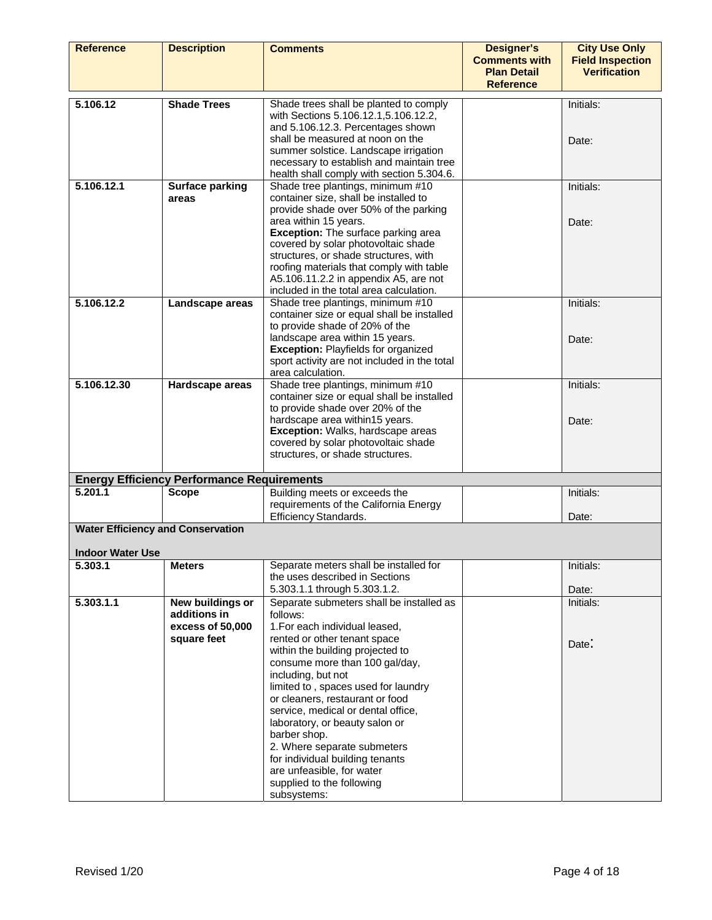| <b>Reference</b>                                                    | <b>Description</b>                                                  | <b>Comments</b>                                                                                                                                                                                                                                                                                                                                                                                                                                                                                                                 | <b>Designer's</b><br><b>Comments with</b><br><b>Plan Detail</b> | <b>City Use Only</b><br><b>Field Inspection</b><br><b>Verification</b> |
|---------------------------------------------------------------------|---------------------------------------------------------------------|---------------------------------------------------------------------------------------------------------------------------------------------------------------------------------------------------------------------------------------------------------------------------------------------------------------------------------------------------------------------------------------------------------------------------------------------------------------------------------------------------------------------------------|-----------------------------------------------------------------|------------------------------------------------------------------------|
|                                                                     |                                                                     |                                                                                                                                                                                                                                                                                                                                                                                                                                                                                                                                 | <b>Reference</b>                                                |                                                                        |
| 5.106.12                                                            | <b>Shade Trees</b>                                                  | Shade trees shall be planted to comply<br>with Sections 5.106.12.1,5.106.12.2,<br>and 5.106.12.3. Percentages shown<br>shall be measured at noon on the<br>summer solstice. Landscape irrigation<br>necessary to establish and maintain tree<br>health shall comply with section 5.304.6.                                                                                                                                                                                                                                       |                                                                 | Initials:<br>Date:                                                     |
| 5.106.12.1                                                          | <b>Surface parking</b><br>areas                                     | Shade tree plantings, minimum #10<br>container size, shall be installed to<br>provide shade over 50% of the parking<br>area within 15 years.<br>Exception: The surface parking area<br>covered by solar photovoltaic shade<br>structures, or shade structures, with<br>roofing materials that comply with table<br>A5.106.11.2.2 in appendix A5, are not<br>included in the total area calculation.                                                                                                                             |                                                                 | Initials:<br>Date:                                                     |
| 5.106.12.2                                                          | Landscape areas                                                     | Shade tree plantings, minimum #10<br>container size or equal shall be installed<br>to provide shade of 20% of the<br>landscape area within 15 years.<br>Exception: Playfields for organized<br>sport activity are not included in the total<br>area calculation.                                                                                                                                                                                                                                                                |                                                                 | Initials:<br>Date:                                                     |
| 5.106.12.30                                                         | Hardscape areas                                                     | Shade tree plantings, minimum #10<br>container size or equal shall be installed<br>to provide shade over 20% of the<br>hardscape area within15 years.<br><b>Exception: Walks, hardscape areas</b><br>covered by solar photovoltaic shade<br>structures, or shade structures.                                                                                                                                                                                                                                                    |                                                                 | Initials:<br>Date:                                                     |
|                                                                     | <b>Energy Efficiency Performance Requirements</b>                   |                                                                                                                                                                                                                                                                                                                                                                                                                                                                                                                                 |                                                                 |                                                                        |
| 5.201.1                                                             | <b>Scope</b>                                                        | Building meets or exceeds the<br>requirements of the California Energy<br>Efficiency Standards.                                                                                                                                                                                                                                                                                                                                                                                                                                 |                                                                 | Initials:<br>Date:                                                     |
| <b>Water Efficiency and Conservation</b><br><b>Indoor Water Use</b> |                                                                     |                                                                                                                                                                                                                                                                                                                                                                                                                                                                                                                                 |                                                                 |                                                                        |
| 5.303.1                                                             | <b>Meters</b>                                                       | Separate meters shall be installed for<br>the uses described in Sections<br>5.303.1.1 through 5.303.1.2.                                                                                                                                                                                                                                                                                                                                                                                                                        |                                                                 | Initials:<br>Date:                                                     |
| 5.303.1.1                                                           | New buildings or<br>additions in<br>excess of 50,000<br>square feet | Separate submeters shall be installed as<br>follows:<br>1. For each individual leased,<br>rented or other tenant space<br>within the building projected to<br>consume more than 100 gal/day,<br>including, but not<br>limited to, spaces used for laundry<br>or cleaners, restaurant or food<br>service, medical or dental office,<br>laboratory, or beauty salon or<br>barber shop.<br>2. Where separate submeters<br>for individual building tenants<br>are unfeasible, for water<br>supplied to the following<br>subsystems: |                                                                 | Initials:<br>Date:                                                     |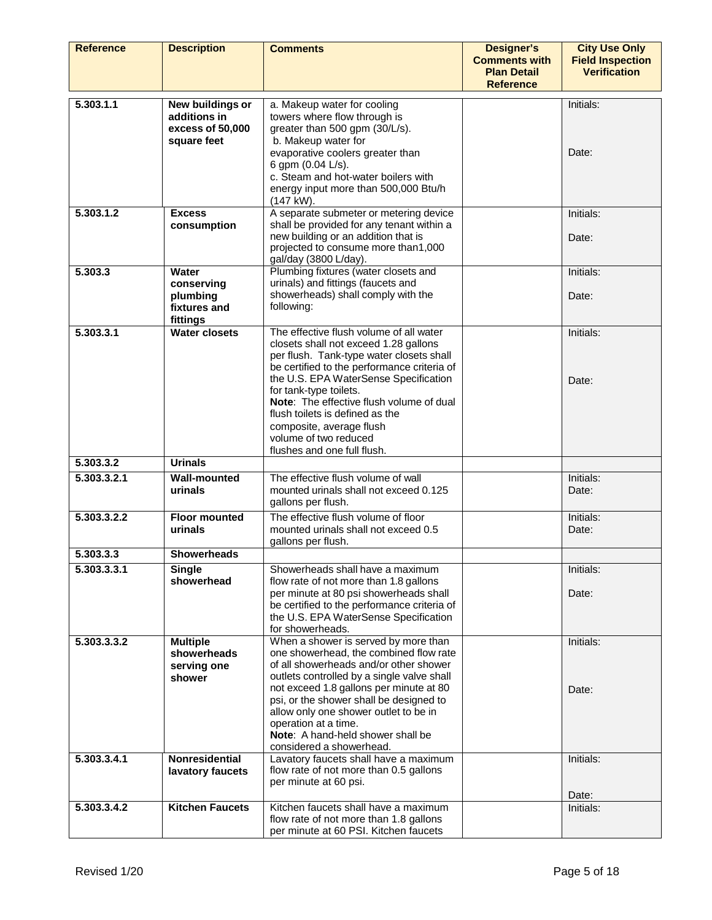| <b>Reference</b> | <b>Description</b>                                                  | <b>Comments</b>                                                                                                                                                                                                                                                                                                                                                                                                   | <b>Designer's</b><br><b>Comments with</b><br><b>Plan Detail</b><br><b>Reference</b> | <b>City Use Only</b><br><b>Field Inspection</b><br><b>Verification</b> |
|------------------|---------------------------------------------------------------------|-------------------------------------------------------------------------------------------------------------------------------------------------------------------------------------------------------------------------------------------------------------------------------------------------------------------------------------------------------------------------------------------------------------------|-------------------------------------------------------------------------------------|------------------------------------------------------------------------|
| 5.303.1.1        | New buildings or<br>additions in<br>excess of 50,000<br>square feet | a. Makeup water for cooling<br>towers where flow through is<br>greater than 500 gpm (30/L/s).<br>b. Makeup water for<br>evaporative coolers greater than<br>6 gpm (0.04 L/s).<br>c. Steam and hot-water boilers with<br>energy input more than 500,000 Btu/h<br>$(147 \text{ kW}).$                                                                                                                               |                                                                                     | Initials:<br>Date:                                                     |
| 5.303.1.2        | <b>Excess</b><br>consumption                                        | A separate submeter or metering device<br>shall be provided for any tenant within a<br>new building or an addition that is<br>projected to consume more than1,000<br>gal/day (3800 L/day).                                                                                                                                                                                                                        |                                                                                     | Initials:<br>Date:                                                     |
| 5,303.3          | Water<br>conserving<br>plumbing<br>fixtures and<br>fittings         | Plumbing fixtures (water closets and<br>urinals) and fittings (faucets and<br>showerheads) shall comply with the<br>following:                                                                                                                                                                                                                                                                                    |                                                                                     | Initials:<br>Date:                                                     |
| 5.303.3.1        | <b>Water closets</b>                                                | The effective flush volume of all water<br>closets shall not exceed 1.28 gallons<br>per flush. Tank-type water closets shall<br>be certified to the performance criteria of<br>the U.S. EPA WaterSense Specification<br>for tank-type toilets.<br>Note: The effective flush volume of dual<br>flush toilets is defined as the<br>composite, average flush<br>volume of two reduced<br>flushes and one full flush. |                                                                                     | Initials:<br>Date:                                                     |
| 5.303.3.2        | <b>Urinals</b>                                                      |                                                                                                                                                                                                                                                                                                                                                                                                                   |                                                                                     |                                                                        |
| 5.303.3.2.1      | <b>Wall-mounted</b><br>urinals                                      | The effective flush volume of wall<br>mounted urinals shall not exceed 0.125<br>gallons per flush.                                                                                                                                                                                                                                                                                                                |                                                                                     | Initials:<br>Date:                                                     |
| 5.303.3.2.2      | <b>Floor mounted</b><br>urinals                                     | The effective flush volume of floor<br>mounted urinals shall not exceed 0.5<br>gallons per flush.                                                                                                                                                                                                                                                                                                                 |                                                                                     | Initials:<br>Date:                                                     |
| 5.303.3.3        | <b>Showerheads</b>                                                  |                                                                                                                                                                                                                                                                                                                                                                                                                   |                                                                                     |                                                                        |
| 5.303.3.3.1      | <b>Single</b><br>showerhead                                         | Showerheads shall have a maximum<br>flow rate of not more than 1.8 gallons<br>per minute at 80 psi showerheads shall<br>be certified to the performance criteria of<br>the U.S. EPA WaterSense Specification<br>for showerheads.                                                                                                                                                                                  |                                                                                     | Initials:<br>Date:                                                     |
| 5.303.3.3.2      | <b>Multiple</b><br>showerheads<br>serving one<br>shower             | When a shower is served by more than<br>one showerhead, the combined flow rate<br>of all showerheads and/or other shower<br>outlets controlled by a single valve shall<br>not exceed 1.8 gallons per minute at 80<br>psi, or the shower shall be designed to<br>allow only one shower outlet to be in<br>operation at a time.<br>Note: A hand-held shower shall be<br>considered a showerhead.                    |                                                                                     | Initials:<br>Date:                                                     |
| 5.303.3.4.1      | Nonresidential<br>lavatory faucets                                  | Lavatory faucets shall have a maximum<br>flow rate of not more than 0.5 gallons<br>per minute at 60 psi.                                                                                                                                                                                                                                                                                                          |                                                                                     | Initials:<br>Date:                                                     |
| 5.303.3.4.2      | <b>Kitchen Faucets</b>                                              | Kitchen faucets shall have a maximum<br>flow rate of not more than 1.8 gallons<br>per minute at 60 PSI. Kitchen faucets                                                                                                                                                                                                                                                                                           |                                                                                     | Initials:                                                              |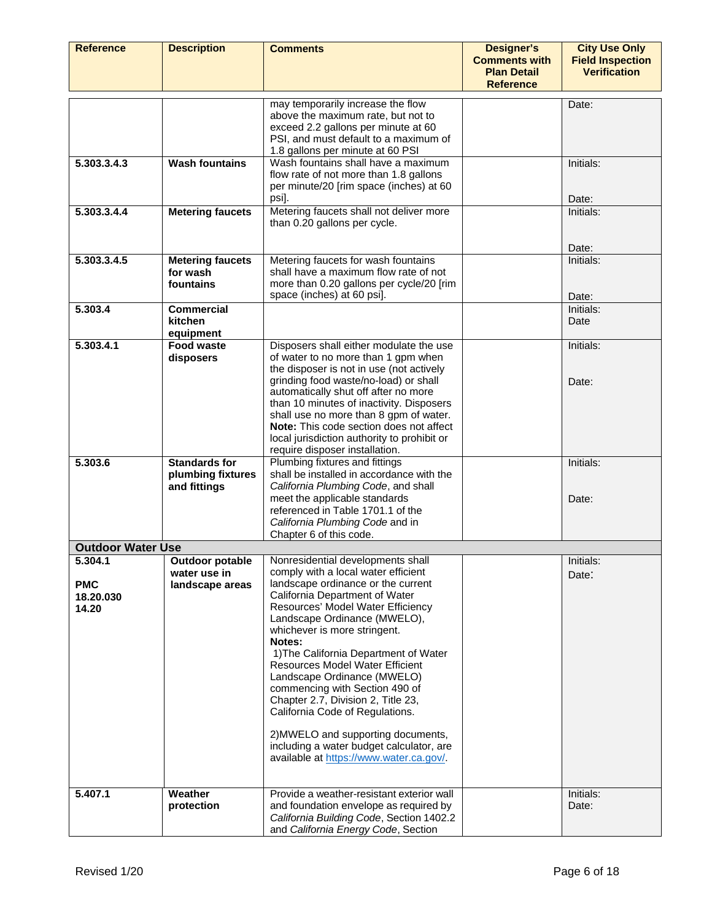| <b>Reference</b>                                       | <b>Description</b>                                                   | <b>Comments</b>                                                                                                                                                                                                                                                                                                                                                                                                                                                                                                                                                                                                                                                        | <b>Designer's</b><br><b>Comments with</b><br><b>Plan Detail</b><br><b>Reference</b> | <b>City Use Only</b><br><b>Field Inspection</b><br><b>Verification</b> |
|--------------------------------------------------------|----------------------------------------------------------------------|------------------------------------------------------------------------------------------------------------------------------------------------------------------------------------------------------------------------------------------------------------------------------------------------------------------------------------------------------------------------------------------------------------------------------------------------------------------------------------------------------------------------------------------------------------------------------------------------------------------------------------------------------------------------|-------------------------------------------------------------------------------------|------------------------------------------------------------------------|
|                                                        |                                                                      | may temporarily increase the flow<br>above the maximum rate, but not to<br>exceed 2.2 gallons per minute at 60<br>PSI, and must default to a maximum of<br>1.8 gallons per minute at 60 PSI                                                                                                                                                                                                                                                                                                                                                                                                                                                                            |                                                                                     | Date:                                                                  |
| 5.303.3.4.3                                            | <b>Wash fountains</b>                                                | Wash fountains shall have a maximum<br>flow rate of not more than 1.8 gallons<br>per minute/20 [rim space (inches) at 60<br>psi].                                                                                                                                                                                                                                                                                                                                                                                                                                                                                                                                      |                                                                                     | Initials:<br>Date:                                                     |
| 5.303.3.4.4                                            | <b>Metering faucets</b>                                              | Metering faucets shall not deliver more<br>than 0.20 gallons per cycle.                                                                                                                                                                                                                                                                                                                                                                                                                                                                                                                                                                                                |                                                                                     | Initials:                                                              |
| 5.303.3.4.5                                            | <b>Metering faucets</b><br>for wash<br>fountains                     | Metering faucets for wash fountains<br>shall have a maximum flow rate of not<br>more than 0.20 gallons per cycle/20 [rim<br>space (inches) at 60 psi].                                                                                                                                                                                                                                                                                                                                                                                                                                                                                                                 |                                                                                     | Date:<br>Initials:<br>Date:                                            |
| 5.303.4                                                | <b>Commercial</b><br>kitchen<br>equipment                            |                                                                                                                                                                                                                                                                                                                                                                                                                                                                                                                                                                                                                                                                        |                                                                                     | Initials:<br>Date                                                      |
| 5.303.4.1                                              | Food waste<br>disposers                                              | Disposers shall either modulate the use<br>of water to no more than 1 gpm when<br>the disposer is not in use (not actively<br>grinding food waste/no-load) or shall<br>automatically shut off after no more<br>than 10 minutes of inactivity. Disposers<br>shall use no more than 8 gpm of water.<br>Note: This code section does not affect<br>local jurisdiction authority to prohibit or<br>require disposer installation.                                                                                                                                                                                                                                          |                                                                                     | Initials:<br>Date:                                                     |
| 5.303.6                                                | <b>Standards for</b><br>plumbing fixtures<br>and fittings            | Plumbing fixtures and fittings<br>shall be installed in accordance with the<br>California Plumbing Code, and shall<br>meet the applicable standards<br>referenced in Table 1701.1 of the<br>California Plumbing Code and in<br>Chapter 6 of this code.                                                                                                                                                                                                                                                                                                                                                                                                                 |                                                                                     | Initials:<br>Date:                                                     |
| <b>Outdoor Water Use</b>                               |                                                                      |                                                                                                                                                                                                                                                                                                                                                                                                                                                                                                                                                                                                                                                                        |                                                                                     |                                                                        |
| 5.304.1<br><b>PMC</b><br>18.20.030<br>14.20<br>5.407.1 | <b>Outdoor potable</b><br>water use in<br>landscape areas<br>Weather | Nonresidential developments shall<br>comply with a local water efficient<br>landscape ordinance or the current<br>California Department of Water<br>Resources' Model Water Efficiency<br>Landscape Ordinance (MWELO),<br>whichever is more stringent.<br>Notes:<br>1) The California Department of Water<br><b>Resources Model Water Efficient</b><br>Landscape Ordinance (MWELO)<br>commencing with Section 490 of<br>Chapter 2.7, Division 2, Title 23,<br>California Code of Regulations.<br>2) MWELO and supporting documents,<br>including a water budget calculator, are<br>available at https://www.water.ca.gov/.<br>Provide a weather-resistant exterior wall |                                                                                     | Initials:<br>Date:<br>Initials:                                        |
|                                                        | protection                                                           | and foundation envelope as required by<br>California Building Code, Section 1402.2<br>and California Energy Code, Section                                                                                                                                                                                                                                                                                                                                                                                                                                                                                                                                              |                                                                                     | Date:                                                                  |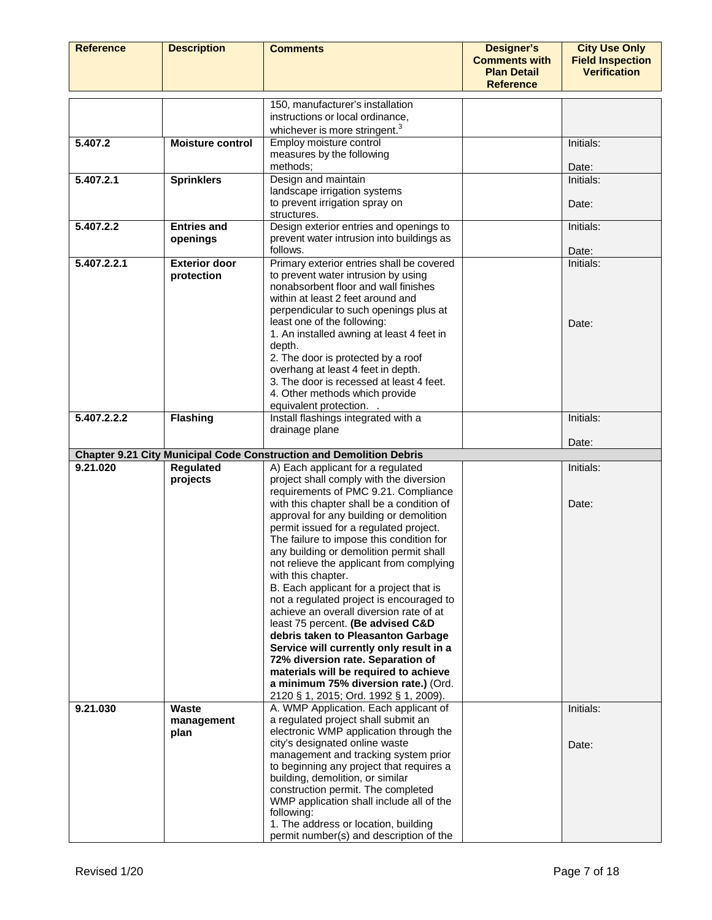| <b>Reference</b> | <b>Description</b>                 | <b>Comments</b>                                                                   | <b>Designer's</b><br><b>Comments with</b><br><b>Plan Detail</b><br><b>Reference</b> | <b>City Use Only</b><br><b>Field Inspection</b><br><b>Verification</b> |
|------------------|------------------------------------|-----------------------------------------------------------------------------------|-------------------------------------------------------------------------------------|------------------------------------------------------------------------|
|                  |                                    | 150, manufacturer's installation                                                  |                                                                                     |                                                                        |
|                  |                                    | instructions or local ordinance,                                                  |                                                                                     |                                                                        |
|                  |                                    | whichever is more stringent. <sup>3</sup>                                         |                                                                                     |                                                                        |
| 5.407.2          | <b>Moisture control</b>            | Employ moisture control                                                           |                                                                                     | Initials:                                                              |
|                  |                                    | measures by the following                                                         |                                                                                     |                                                                        |
|                  |                                    | methods;                                                                          |                                                                                     | Date:                                                                  |
| 5.407.2.1        | <b>Sprinklers</b>                  | Design and maintain                                                               |                                                                                     | Initials:                                                              |
|                  |                                    | landscape irrigation systems<br>to prevent irrigation spray on                    |                                                                                     | Date:                                                                  |
|                  |                                    | structures.                                                                       |                                                                                     |                                                                        |
| 5.407.2.2        | <b>Entries and</b>                 | Design exterior entries and openings to                                           |                                                                                     | Initials:                                                              |
|                  | openings                           | prevent water intrusion into buildings as                                         |                                                                                     |                                                                        |
|                  |                                    | follows.                                                                          |                                                                                     | Date:                                                                  |
| 5.407.2.2.1      | <b>Exterior door</b><br>protection | Primary exterior entries shall be covered<br>to prevent water intrusion by using  |                                                                                     | Initials:                                                              |
|                  |                                    | nonabsorbent floor and wall finishes                                              |                                                                                     |                                                                        |
|                  |                                    | within at least 2 feet around and                                                 |                                                                                     |                                                                        |
|                  |                                    | perpendicular to such openings plus at                                            |                                                                                     |                                                                        |
|                  |                                    | least one of the following:                                                       |                                                                                     | Date:                                                                  |
|                  |                                    | 1. An installed awning at least 4 feet in<br>depth.                               |                                                                                     |                                                                        |
|                  |                                    | 2. The door is protected by a roof                                                |                                                                                     |                                                                        |
|                  |                                    | overhang at least 4 feet in depth.                                                |                                                                                     |                                                                        |
|                  |                                    | 3. The door is recessed at least 4 feet.                                          |                                                                                     |                                                                        |
|                  |                                    | 4. Other methods which provide                                                    |                                                                                     |                                                                        |
|                  |                                    | equivalent protection. .                                                          |                                                                                     |                                                                        |
| 5.407.2.2.2      | <b>Flashing</b>                    | Install flashings integrated with a<br>drainage plane                             |                                                                                     | Initials:                                                              |
|                  |                                    |                                                                                   |                                                                                     | Date:                                                                  |
|                  |                                    | <b>Chapter 9.21 City Municipal Code Construction and Demolition Debris</b>        |                                                                                     |                                                                        |
| 9.21.020         | <b>Regulated</b>                   | A) Each applicant for a regulated                                                 |                                                                                     | Initials:                                                              |
|                  | projects                           | project shall comply with the diversion                                           |                                                                                     |                                                                        |
|                  |                                    | requirements of PMC 9.21. Compliance<br>with this chapter shall be a condition of |                                                                                     | Date:                                                                  |
|                  |                                    | approval for any building or demolition                                           |                                                                                     |                                                                        |
|                  |                                    | permit issued for a regulated project.                                            |                                                                                     |                                                                        |
|                  |                                    | The failure to impose this condition for                                          |                                                                                     |                                                                        |
|                  |                                    | any building or demolition permit shall                                           |                                                                                     |                                                                        |
|                  |                                    | not relieve the applicant from complying<br>with this chapter.                    |                                                                                     |                                                                        |
|                  |                                    | B. Each applicant for a project that is                                           |                                                                                     |                                                                        |
|                  |                                    | not a regulated project is encouraged to                                          |                                                                                     |                                                                        |
|                  |                                    | achieve an overall diversion rate of at                                           |                                                                                     |                                                                        |
|                  |                                    | least 75 percent. (Be advised C&D                                                 |                                                                                     |                                                                        |
|                  |                                    | debris taken to Pleasanton Garbage<br>Service will currently only result in a     |                                                                                     |                                                                        |
|                  |                                    | 72% diversion rate. Separation of                                                 |                                                                                     |                                                                        |
|                  |                                    | materials will be required to achieve                                             |                                                                                     |                                                                        |
|                  |                                    | a minimum 75% diversion rate.) (Ord.                                              |                                                                                     |                                                                        |
|                  |                                    | 2120 § 1, 2015; Ord. 1992 § 1, 2009).                                             |                                                                                     |                                                                        |
| 9.21.030         | <b>Waste</b>                       | A. WMP Application. Each applicant of<br>a regulated project shall submit an      |                                                                                     | Initials:                                                              |
|                  | management<br>plan                 | electronic WMP application through the                                            |                                                                                     |                                                                        |
|                  |                                    | city's designated online waste                                                    |                                                                                     | Date:                                                                  |
|                  |                                    | management and tracking system prior                                              |                                                                                     |                                                                        |
|                  |                                    | to beginning any project that requires a                                          |                                                                                     |                                                                        |
|                  |                                    | building, demolition, or similar<br>construction permit. The completed            |                                                                                     |                                                                        |
|                  |                                    | WMP application shall include all of the                                          |                                                                                     |                                                                        |
|                  |                                    | following:                                                                        |                                                                                     |                                                                        |
|                  |                                    | 1. The address or location, building                                              |                                                                                     |                                                                        |
|                  |                                    | permit number(s) and description of the                                           |                                                                                     |                                                                        |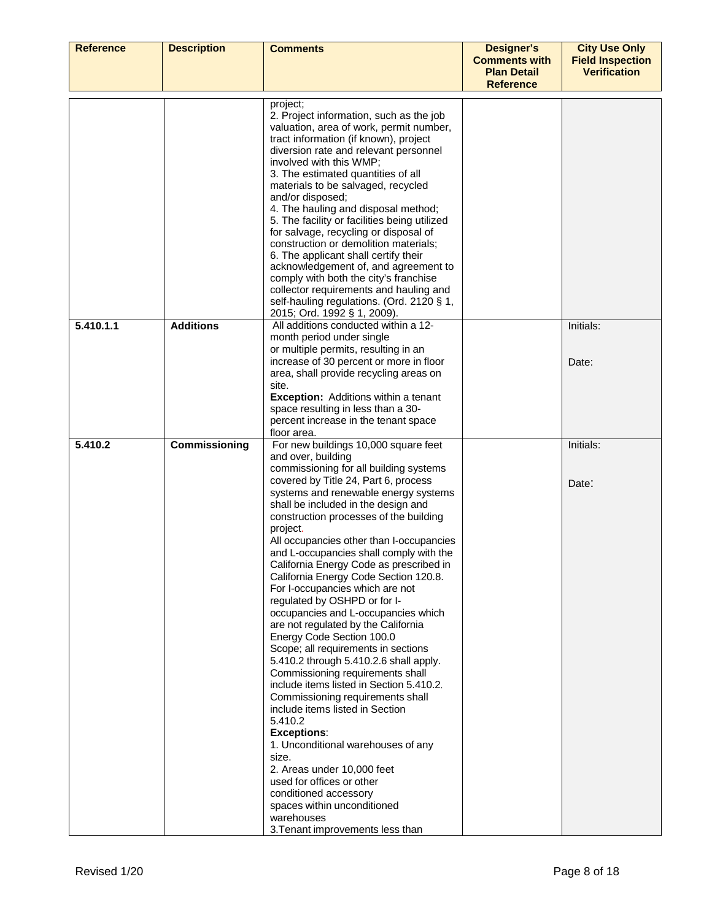| <b>Reference</b> | <b>Description</b> | <b>Comments</b>                                                                     | <b>Designer's</b><br><b>Comments with</b> | <b>City Use Only</b><br><b>Field Inspection</b> |
|------------------|--------------------|-------------------------------------------------------------------------------------|-------------------------------------------|-------------------------------------------------|
|                  |                    |                                                                                     | <b>Plan Detail</b>                        | <b>Verification</b>                             |
|                  |                    |                                                                                     | <b>Reference</b>                          |                                                 |
|                  |                    | project;                                                                            |                                           |                                                 |
|                  |                    | 2. Project information, such as the job                                             |                                           |                                                 |
|                  |                    | valuation, area of work, permit number,<br>tract information (if known), project    |                                           |                                                 |
|                  |                    | diversion rate and relevant personnel                                               |                                           |                                                 |
|                  |                    | involved with this WMP;                                                             |                                           |                                                 |
|                  |                    | 3. The estimated quantities of all                                                  |                                           |                                                 |
|                  |                    | materials to be salvaged, recycled                                                  |                                           |                                                 |
|                  |                    | and/or disposed;                                                                    |                                           |                                                 |
|                  |                    | 4. The hauling and disposal method;<br>5. The facility or facilities being utilized |                                           |                                                 |
|                  |                    | for salvage, recycling or disposal of                                               |                                           |                                                 |
|                  |                    | construction or demolition materials;                                               |                                           |                                                 |
|                  |                    | 6. The applicant shall certify their                                                |                                           |                                                 |
|                  |                    | acknowledgement of, and agreement to<br>comply with both the city's franchise       |                                           |                                                 |
|                  |                    | collector requirements and hauling and                                              |                                           |                                                 |
|                  |                    | self-hauling regulations. (Ord. 2120 § 1,                                           |                                           |                                                 |
|                  |                    | 2015; Ord. 1992 § 1, 2009).                                                         |                                           |                                                 |
| 5.410.1.1        | <b>Additions</b>   | All additions conducted within a 12-<br>month period under single                   |                                           | Initials:                                       |
|                  |                    | or multiple permits, resulting in an                                                |                                           |                                                 |
|                  |                    | increase of 30 percent or more in floor                                             |                                           | Date:                                           |
|                  |                    | area, shall provide recycling areas on                                              |                                           |                                                 |
|                  |                    | site.<br><b>Exception:</b> Additions within a tenant                                |                                           |                                                 |
|                  |                    | space resulting in less than a 30-                                                  |                                           |                                                 |
|                  |                    | percent increase in the tenant space                                                |                                           |                                                 |
|                  |                    | floor area.                                                                         |                                           |                                                 |
| 5.410.2          | Commissioning      | For new buildings 10,000 square feet<br>and over, building                          |                                           | Initials:                                       |
|                  |                    | commissioning for all building systems                                              |                                           |                                                 |
|                  |                    | covered by Title 24, Part 6, process                                                |                                           | Date:                                           |
|                  |                    | systems and renewable energy systems                                                |                                           |                                                 |
|                  |                    | shall be included in the design and                                                 |                                           |                                                 |
|                  |                    | construction processes of the building<br>project.                                  |                                           |                                                 |
|                  |                    | All occupancies other than I-occupancies                                            |                                           |                                                 |
|                  |                    | and L-occupancies shall comply with the                                             |                                           |                                                 |
|                  |                    | California Energy Code as prescribed in                                             |                                           |                                                 |
|                  |                    | California Energy Code Section 120.8.                                               |                                           |                                                 |
|                  |                    | For I-occupancies which are not<br>regulated by OSHPD or for I-                     |                                           |                                                 |
|                  |                    | occupancies and L-occupancies which                                                 |                                           |                                                 |
|                  |                    | are not regulated by the California                                                 |                                           |                                                 |
|                  |                    | Energy Code Section 100.0                                                           |                                           |                                                 |
|                  |                    | Scope; all requirements in sections                                                 |                                           |                                                 |
|                  |                    | 5.410.2 through 5.410.2.6 shall apply.<br>Commissioning requirements shall          |                                           |                                                 |
|                  |                    | include items listed in Section 5.410.2.                                            |                                           |                                                 |
|                  |                    | Commissioning requirements shall                                                    |                                           |                                                 |
|                  |                    | include items listed in Section                                                     |                                           |                                                 |
|                  |                    | 5.410.2                                                                             |                                           |                                                 |
|                  |                    | <b>Exceptions:</b><br>1. Unconditional warehouses of any                            |                                           |                                                 |
|                  |                    | size.                                                                               |                                           |                                                 |
|                  |                    | 2. Areas under 10,000 feet                                                          |                                           |                                                 |
|                  |                    | used for offices or other                                                           |                                           |                                                 |
|                  |                    | conditioned accessory<br>spaces within unconditioned                                |                                           |                                                 |
|                  |                    | warehouses                                                                          |                                           |                                                 |
|                  |                    | 3. Tenant improvements less than                                                    |                                           |                                                 |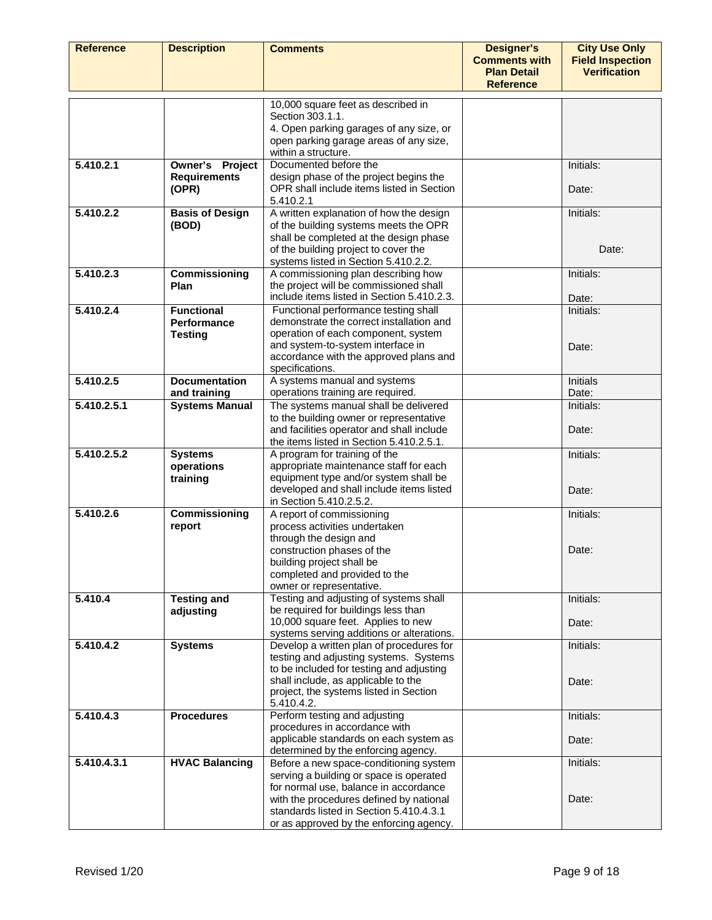| <b>Reference</b> | <b>Description</b>                              | <b>Comments</b>                                                                                                                                                                                                                         | <b>Designer's</b><br><b>Comments with</b><br><b>Plan Detail</b><br><b>Reference</b> | <b>City Use Only</b><br><b>Field Inspection</b><br><b>Verification</b> |
|------------------|-------------------------------------------------|-----------------------------------------------------------------------------------------------------------------------------------------------------------------------------------------------------------------------------------------|-------------------------------------------------------------------------------------|------------------------------------------------------------------------|
|                  |                                                 | 10,000 square feet as described in<br>Section 303.1.1.                                                                                                                                                                                  |                                                                                     |                                                                        |
|                  |                                                 | 4. Open parking garages of any size, or<br>open parking garage areas of any size,<br>within a structure.                                                                                                                                |                                                                                     |                                                                        |
| 5.410.2.1        | Owner's Project<br><b>Requirements</b><br>(OPR) | Documented before the<br>design phase of the project begins the<br>OPR shall include items listed in Section<br>5.410.2.1                                                                                                               |                                                                                     | Initials:<br>Date:                                                     |
| 5.410.2.2        | <b>Basis of Design</b><br>(BOD)                 | A written explanation of how the design<br>of the building systems meets the OPR<br>shall be completed at the design phase<br>of the building project to cover the                                                                      |                                                                                     | Initials:<br>Date:                                                     |
| 5.410.2.3        | Commissioning<br>Plan                           | systems listed in Section 5.410.2.2.<br>A commissioning plan describing how<br>the project will be commissioned shall                                                                                                                   |                                                                                     | Initials:                                                              |
| 5.410.2.4        | <b>Functional</b><br><b>Performance</b>         | include items listed in Section 5.410.2.3.<br>Functional performance testing shall<br>demonstrate the correct installation and                                                                                                          |                                                                                     | Date:<br>Initials:                                                     |
|                  | <b>Testing</b>                                  | operation of each component, system<br>and system-to-system interface in<br>accordance with the approved plans and<br>specifications.                                                                                                   |                                                                                     | Date:                                                                  |
| 5.410.2.5        | <b>Documentation</b><br>and training            | A systems manual and systems<br>operations training are required.                                                                                                                                                                       |                                                                                     | <b>Initials</b><br>Date:                                               |
| 5.410.2.5.1      | <b>Systems Manual</b>                           | The systems manual shall be delivered<br>to the building owner or representative<br>and facilities operator and shall include<br>the items listed in Section 5.410.2.5.1.                                                               |                                                                                     | Initials:<br>Date:                                                     |
| 5.410.2.5.2      | <b>Systems</b><br>operations<br>training        | A program for training of the<br>appropriate maintenance staff for each<br>equipment type and/or system shall be<br>developed and shall include items listed                                                                            |                                                                                     | Initials:<br>Date:                                                     |
| 5.410.2.6        | Commissioning<br>report                         | in Section 5.410.2.5.2.<br>A report of commissioning<br>process activities undertaken<br>through the design and<br>construction phases of the<br>building project shall be<br>completed and provided to the<br>owner or representative. |                                                                                     | Initials:<br>Date:                                                     |
| 5.410.4          | <b>Testing and</b><br>adjusting                 | Testing and adjusting of systems shall<br>be required for buildings less than<br>10,000 square feet. Applies to new<br>systems serving additions or alterations.                                                                        |                                                                                     | Initials:<br>Date:                                                     |
| 5.410.4.2        | <b>Systems</b>                                  | Develop a written plan of procedures for<br>testing and adjusting systems. Systems<br>to be included for testing and adjusting<br>shall include, as applicable to the                                                                   |                                                                                     | Initials:<br>Date:                                                     |
|                  |                                                 | project, the systems listed in Section<br>5.410.4.2.                                                                                                                                                                                    |                                                                                     |                                                                        |
| 5.410.4.3        | <b>Procedures</b>                               | Perform testing and adjusting<br>procedures in accordance with<br>applicable standards on each system as                                                                                                                                |                                                                                     | Initials:<br>Date:                                                     |
| 5.410.4.3.1      | <b>HVAC Balancing</b>                           | determined by the enforcing agency.<br>Before a new space-conditioning system                                                                                                                                                           |                                                                                     | Initials:                                                              |
|                  |                                                 | serving a building or space is operated<br>for normal use, balance in accordance<br>with the procedures defined by national<br>standards listed in Section 5.410.4.3.1<br>or as approved by the enforcing agency.                       |                                                                                     | Date:                                                                  |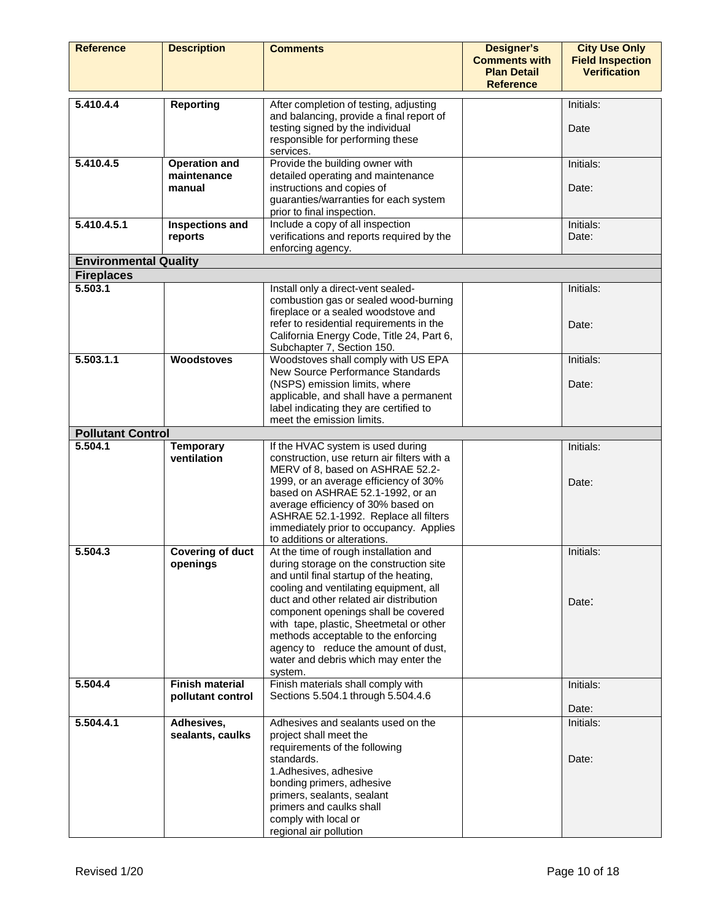| <b>Reference</b>             | <b>Description</b>                            | <b>Comments</b>                                                                                                                                                                                                                                                                                                                                                                                                                      | <b>Designer's</b><br><b>Comments with</b><br><b>Plan Detail</b><br><b>Reference</b> | <b>City Use Only</b><br><b>Field Inspection</b><br><b>Verification</b> |
|------------------------------|-----------------------------------------------|--------------------------------------------------------------------------------------------------------------------------------------------------------------------------------------------------------------------------------------------------------------------------------------------------------------------------------------------------------------------------------------------------------------------------------------|-------------------------------------------------------------------------------------|------------------------------------------------------------------------|
| 5,410,4.4                    | <b>Reporting</b>                              | After completion of testing, adjusting<br>and balancing, provide a final report of<br>testing signed by the individual<br>responsible for performing these<br>services.                                                                                                                                                                                                                                                              |                                                                                     | Initials:<br>Date                                                      |
| 5,410,4.5                    | <b>Operation and</b><br>maintenance<br>manual | Provide the building owner with<br>detailed operating and maintenance<br>instructions and copies of<br>guaranties/warranties for each system<br>prior to final inspection.                                                                                                                                                                                                                                                           |                                                                                     | Initials:<br>Date:                                                     |
| 5.410.4.5.1                  | Inspections and<br>reports                    | Include a copy of all inspection<br>verifications and reports required by the<br>enforcing agency.                                                                                                                                                                                                                                                                                                                                   |                                                                                     | Initials:<br>Date:                                                     |
| <b>Environmental Quality</b> |                                               |                                                                                                                                                                                                                                                                                                                                                                                                                                      |                                                                                     |                                                                        |
| <b>Fireplaces</b>            |                                               |                                                                                                                                                                                                                                                                                                                                                                                                                                      |                                                                                     |                                                                        |
| 5.503.1                      |                                               | Install only a direct-vent sealed-<br>combustion gas or sealed wood-burning<br>fireplace or a sealed woodstove and<br>refer to residential requirements in the<br>California Energy Code, Title 24, Part 6,                                                                                                                                                                                                                          |                                                                                     | Initials:<br>Date:                                                     |
| 5.503.1.1                    | Woodstoves                                    | Subchapter 7, Section 150.<br>Woodstoves shall comply with US EPA<br>New Source Performance Standards<br>(NSPS) emission limits, where<br>applicable, and shall have a permanent<br>label indicating they are certified to<br>meet the emission limits.                                                                                                                                                                              |                                                                                     | Initials:<br>Date:                                                     |
| <b>Pollutant Control</b>     |                                               |                                                                                                                                                                                                                                                                                                                                                                                                                                      |                                                                                     |                                                                        |
| 5.504.1                      | <b>Temporary</b><br>ventilation               | If the HVAC system is used during<br>construction, use return air filters with a<br>MERV of 8, based on ASHRAE 52.2-<br>1999, or an average efficiency of 30%<br>based on ASHRAE 52.1-1992, or an<br>average efficiency of 30% based on<br>ASHRAE 52.1-1992. Replace all filters<br>immediately prior to occupancy. Applies<br>to additions or alterations.                                                                          |                                                                                     | Initials:<br>Date:                                                     |
| 5.504.3                      | <b>Covering of duct</b><br>openings           | At the time of rough installation and<br>during storage on the construction site<br>and until final startup of the heating,<br>cooling and ventilating equipment, all<br>duct and other related air distribution<br>component openings shall be covered<br>with tape, plastic, Sheetmetal or other<br>methods acceptable to the enforcing<br>agency to reduce the amount of dust,<br>water and debris which may enter the<br>system. |                                                                                     | Initials:<br>Date:                                                     |
| 5.504.4                      | <b>Finish material</b><br>pollutant control   | Finish materials shall comply with<br>Sections 5.504.1 through 5.504.4.6                                                                                                                                                                                                                                                                                                                                                             |                                                                                     | Initials:<br>Date:                                                     |
| 5.504.4.1                    | Adhesives,<br>sealants, caulks                | Adhesives and sealants used on the<br>project shall meet the<br>requirements of the following<br>standards.<br>1.Adhesives, adhesive<br>bonding primers, adhesive<br>primers, sealants, sealant<br>primers and caulks shall<br>comply with local or<br>regional air pollution                                                                                                                                                        |                                                                                     | Initials:<br>Date:                                                     |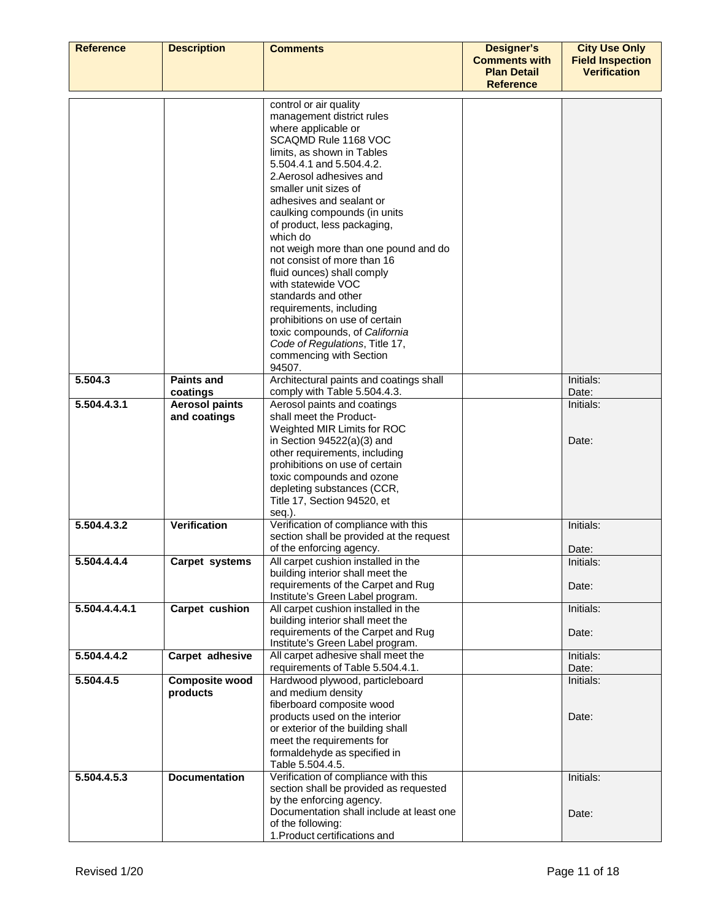| <b>Reference</b> | <b>Description</b>                | <b>Comments</b>                                                                  | <b>Designer's</b><br><b>Comments with</b> | <b>City Use Only</b><br><b>Field Inspection</b> |
|------------------|-----------------------------------|----------------------------------------------------------------------------------|-------------------------------------------|-------------------------------------------------|
|                  |                                   |                                                                                  | <b>Plan Detail</b><br><b>Reference</b>    | <b>Verification</b>                             |
|                  |                                   |                                                                                  |                                           |                                                 |
|                  |                                   | control or air quality<br>management district rules                              |                                           |                                                 |
|                  |                                   | where applicable or                                                              |                                           |                                                 |
|                  |                                   | SCAQMD Rule 1168 VOC                                                             |                                           |                                                 |
|                  |                                   | limits, as shown in Tables                                                       |                                           |                                                 |
|                  |                                   | 5.504.4.1 and 5.504.4.2.                                                         |                                           |                                                 |
|                  |                                   | 2. Aerosol adhesives and                                                         |                                           |                                                 |
|                  |                                   | smaller unit sizes of<br>adhesives and sealant or                                |                                           |                                                 |
|                  |                                   | caulking compounds (in units                                                     |                                           |                                                 |
|                  |                                   | of product, less packaging,                                                      |                                           |                                                 |
|                  |                                   | which do                                                                         |                                           |                                                 |
|                  |                                   | not weigh more than one pound and do                                             |                                           |                                                 |
|                  |                                   | not consist of more than 16<br>fluid ounces) shall comply                        |                                           |                                                 |
|                  |                                   | with statewide VOC                                                               |                                           |                                                 |
|                  |                                   | standards and other                                                              |                                           |                                                 |
|                  |                                   | requirements, including                                                          |                                           |                                                 |
|                  |                                   | prohibitions on use of certain                                                   |                                           |                                                 |
|                  |                                   | toxic compounds, of California<br>Code of Regulations, Title 17,                 |                                           |                                                 |
|                  |                                   | commencing with Section                                                          |                                           |                                                 |
|                  |                                   | 94507.                                                                           |                                           |                                                 |
| 5.504.3          | <b>Paints and</b>                 | Architectural paints and coatings shall                                          |                                           | Initials:                                       |
| 5.504.4.3.1      | coatings<br><b>Aerosol paints</b> | comply with Table 5.504.4.3.<br>Aerosol paints and coatings                      |                                           | Date:<br>Initials:                              |
|                  | and coatings                      | shall meet the Product-                                                          |                                           |                                                 |
|                  |                                   | Weighted MIR Limits for ROC                                                      |                                           |                                                 |
|                  |                                   | in Section $94522(a)(3)$ and                                                     |                                           | Date:                                           |
|                  |                                   | other requirements, including                                                    |                                           |                                                 |
|                  |                                   | prohibitions on use of certain<br>toxic compounds and ozone                      |                                           |                                                 |
|                  |                                   | depleting substances (CCR,                                                       |                                           |                                                 |
|                  |                                   | Title 17, Section 94520, et                                                      |                                           |                                                 |
|                  |                                   | seq.).                                                                           |                                           |                                                 |
| 5.504.4.3.2      | Verification                      | Verification of compliance with this<br>section shall be provided at the request |                                           | Initials:                                       |
|                  |                                   | of the enforcing agency.                                                         |                                           | Date:                                           |
| 5.504.4.4.4      | Carpet systems                    | All carpet cushion installed in the                                              |                                           | Initials:                                       |
|                  |                                   | building interior shall meet the                                                 |                                           |                                                 |
|                  |                                   | requirements of the Carpet and Rug                                               |                                           | Date:                                           |
| 5.504.4.4.4.1    | Carpet cushion                    | Institute's Green Label program.<br>All carpet cushion installed in the          |                                           | Initials:                                       |
|                  |                                   | building interior shall meet the                                                 |                                           |                                                 |
|                  |                                   | requirements of the Carpet and Rug                                               |                                           | Date:                                           |
| 5.504.4.4.2      | Carpet adhesive                   | Institute's Green Label program.<br>All carpet adhesive shall meet the           |                                           | Initials:                                       |
|                  |                                   | requirements of Table 5.504.4.1.                                                 |                                           | Date:                                           |
| 5.504.4.5        | <b>Composite wood</b>             | Hardwood plywood, particleboard                                                  |                                           | Initials:                                       |
|                  | products                          | and medium density                                                               |                                           |                                                 |
|                  |                                   | fiberboard composite wood                                                        |                                           |                                                 |
|                  |                                   | products used on the interior<br>or exterior of the building shall               |                                           | Date:                                           |
|                  |                                   | meet the requirements for                                                        |                                           |                                                 |
|                  |                                   | formaldehyde as specified in                                                     |                                           |                                                 |
|                  |                                   | Table 5.504.4.5.                                                                 |                                           |                                                 |
| 5.504.4.5.3      | <b>Documentation</b>              | Verification of compliance with this                                             |                                           | Initials:                                       |
|                  |                                   | section shall be provided as requested<br>by the enforcing agency.               |                                           |                                                 |
|                  |                                   | Documentation shall include at least one                                         |                                           | Date:                                           |
|                  |                                   | of the following:                                                                |                                           |                                                 |
|                  |                                   | 1. Product certifications and                                                    |                                           |                                                 |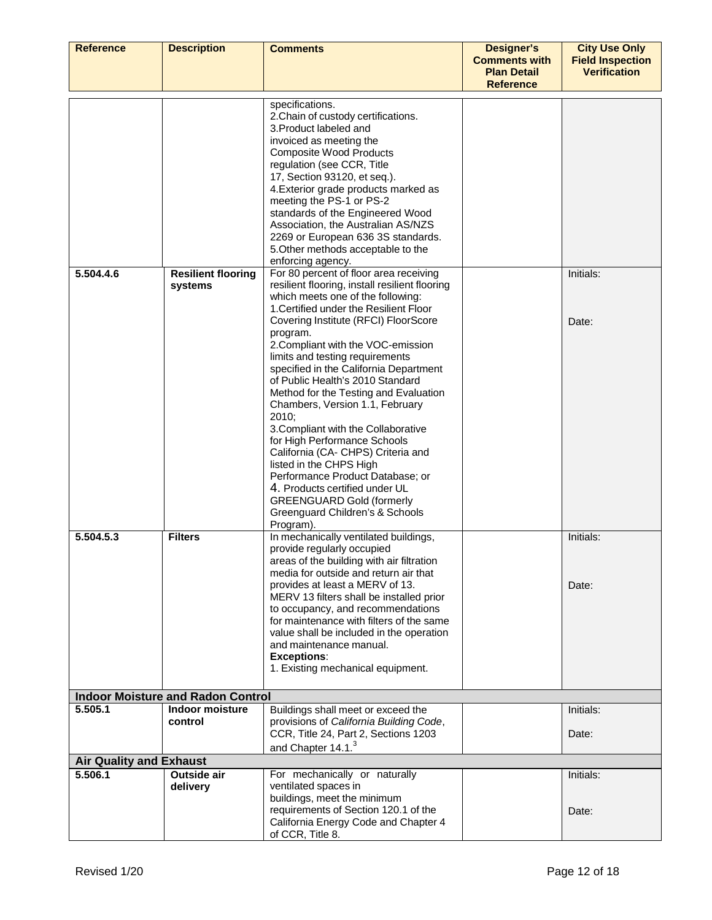| <b>Reference</b>                          | <b>Description</b>                       | <b>Comments</b>                                                             | <b>Designer's</b><br><b>Comments with</b> | <b>City Use Only</b><br><b>Field Inspection</b> |
|-------------------------------------------|------------------------------------------|-----------------------------------------------------------------------------|-------------------------------------------|-------------------------------------------------|
|                                           |                                          |                                                                             | <b>Plan Detail</b><br><b>Reference</b>    | <b>Verification</b>                             |
|                                           |                                          | specifications.                                                             |                                           |                                                 |
|                                           |                                          | 2. Chain of custody certifications.                                         |                                           |                                                 |
|                                           |                                          | 3. Product labeled and                                                      |                                           |                                                 |
|                                           |                                          | invoiced as meeting the                                                     |                                           |                                                 |
|                                           |                                          | <b>Composite Wood Products</b>                                              |                                           |                                                 |
|                                           |                                          | regulation (see CCR, Title                                                  |                                           |                                                 |
|                                           |                                          | 17, Section 93120, et seq.).                                                |                                           |                                                 |
|                                           |                                          | 4. Exterior grade products marked as                                        |                                           |                                                 |
|                                           |                                          | meeting the PS-1 or PS-2                                                    |                                           |                                                 |
|                                           |                                          | standards of the Engineered Wood<br>Association, the Australian AS/NZS      |                                           |                                                 |
|                                           |                                          | 2269 or European 636 3S standards.                                          |                                           |                                                 |
|                                           |                                          | 5. Other methods acceptable to the                                          |                                           |                                                 |
|                                           |                                          | enforcing agency.                                                           |                                           |                                                 |
| 5.504.4.6                                 | <b>Resilient flooring</b>                | For 80 percent of floor area receiving                                      |                                           | Initials:                                       |
|                                           | systems                                  | resilient flooring, install resilient flooring                              |                                           |                                                 |
|                                           |                                          | which meets one of the following:<br>1. Certified under the Resilient Floor |                                           |                                                 |
|                                           |                                          | Covering Institute (RFCI) FloorScore                                        |                                           | Date:                                           |
|                                           |                                          | program.                                                                    |                                           |                                                 |
|                                           |                                          | 2. Compliant with the VOC-emission                                          |                                           |                                                 |
|                                           |                                          | limits and testing requirements                                             |                                           |                                                 |
|                                           |                                          | specified in the California Department                                      |                                           |                                                 |
|                                           |                                          | of Public Health's 2010 Standard                                            |                                           |                                                 |
|                                           |                                          | Method for the Testing and Evaluation                                       |                                           |                                                 |
|                                           |                                          | Chambers, Version 1.1, February<br>2010;                                    |                                           |                                                 |
|                                           |                                          | 3. Compliant with the Collaborative                                         |                                           |                                                 |
|                                           |                                          | for High Performance Schools                                                |                                           |                                                 |
|                                           |                                          | California (CA- CHPS) Criteria and                                          |                                           |                                                 |
|                                           |                                          | listed in the CHPS High                                                     |                                           |                                                 |
|                                           |                                          | Performance Product Database; or                                            |                                           |                                                 |
|                                           |                                          | 4. Products certified under UL<br><b>GREENGUARD Gold (formerly</b>          |                                           |                                                 |
|                                           |                                          | Greenguard Children's & Schools                                             |                                           |                                                 |
|                                           |                                          | Program).                                                                   |                                           |                                                 |
| 5.504.5.3                                 | <b>Filters</b>                           | In mechanically ventilated buildings,                                       |                                           | Initials:                                       |
|                                           |                                          | provide regularly occupied                                                  |                                           |                                                 |
|                                           |                                          | areas of the building with air filtration                                   |                                           |                                                 |
|                                           |                                          | media for outside and return air that<br>provides at least a MERV of 13.    |                                           | Date:                                           |
|                                           |                                          | MERV 13 filters shall be installed prior                                    |                                           |                                                 |
|                                           |                                          | to occupancy, and recommendations                                           |                                           |                                                 |
|                                           |                                          | for maintenance with filters of the same                                    |                                           |                                                 |
|                                           |                                          | value shall be included in the operation                                    |                                           |                                                 |
|                                           |                                          | and maintenance manual.                                                     |                                           |                                                 |
|                                           |                                          | <b>Exceptions:</b><br>1. Existing mechanical equipment.                     |                                           |                                                 |
|                                           |                                          |                                                                             |                                           |                                                 |
|                                           | <b>Indoor Moisture and Radon Control</b> |                                                                             |                                           |                                                 |
| 5.505.1                                   | Indoor moisture                          | Buildings shall meet or exceed the                                          |                                           | Initials:                                       |
|                                           | control                                  | provisions of California Building Code,                                     |                                           |                                                 |
|                                           |                                          | CCR, Title 24, Part 2, Sections 1203                                        |                                           | Date:                                           |
|                                           |                                          | and Chapter 14.1. <sup>3</sup>                                              |                                           |                                                 |
| <b>Air Quality and Exhaust</b><br>5.506.1 | Outside air                              | For mechanically or naturally                                               |                                           | Initials:                                       |
|                                           | delivery                                 | ventilated spaces in                                                        |                                           |                                                 |
|                                           |                                          | buildings, meet the minimum                                                 |                                           |                                                 |
|                                           |                                          | requirements of Section 120.1 of the                                        |                                           | Date:                                           |
|                                           |                                          | California Energy Code and Chapter 4                                        |                                           |                                                 |
|                                           |                                          | of CCR, Title 8.                                                            |                                           |                                                 |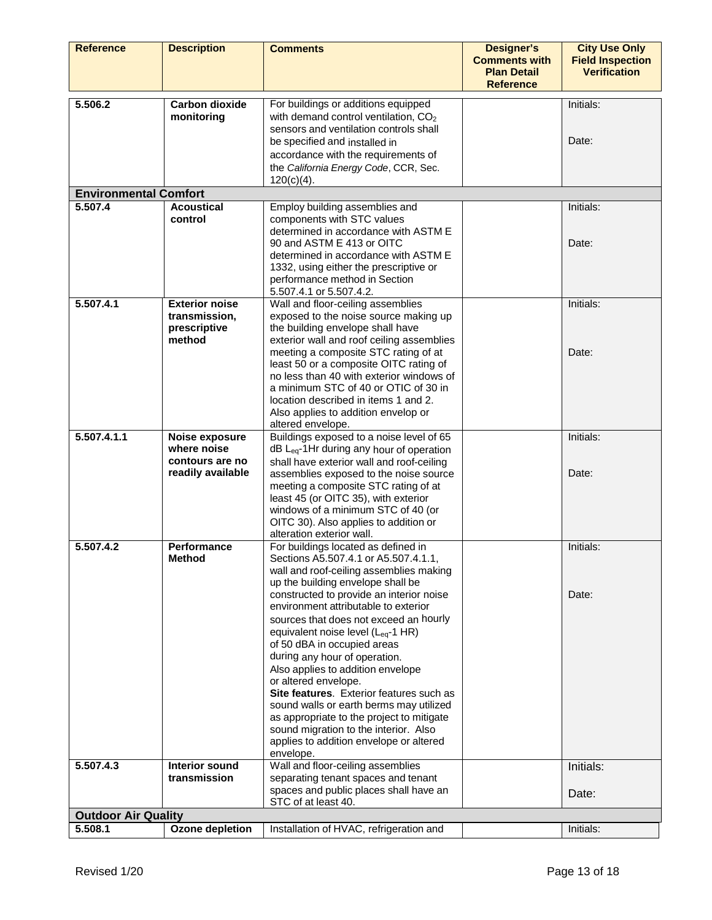| <b>Reference</b>                      | <b>Description</b>                    | <b>Comments</b>                                                                            | <b>Designer's</b><br><b>Comments with</b><br><b>Plan Detail</b> | <b>City Use Only</b><br><b>Field Inspection</b><br><b>Verification</b> |
|---------------------------------------|---------------------------------------|--------------------------------------------------------------------------------------------|-----------------------------------------------------------------|------------------------------------------------------------------------|
|                                       |                                       |                                                                                            | <b>Reference</b>                                                |                                                                        |
| 5.506.2                               | <b>Carbon dioxide</b>                 | For buildings or additions equipped                                                        |                                                                 | Initials:                                                              |
|                                       | monitoring                            | with demand control ventilation, CO <sub>2</sub><br>sensors and ventilation controls shall |                                                                 |                                                                        |
|                                       |                                       | be specified and installed in                                                              |                                                                 | Date:                                                                  |
|                                       |                                       | accordance with the requirements of                                                        |                                                                 |                                                                        |
|                                       |                                       | the California Energy Code, CCR, Sec.                                                      |                                                                 |                                                                        |
| <b>Environmental Comfort</b>          |                                       | $120(c)(4)$ .                                                                              |                                                                 |                                                                        |
| 5.507.4                               | <b>Acoustical</b>                     | Employ building assemblies and                                                             |                                                                 | Initials:                                                              |
|                                       | control                               | components with STC values                                                                 |                                                                 |                                                                        |
|                                       |                                       | determined in accordance with ASTM E                                                       |                                                                 |                                                                        |
|                                       |                                       | 90 and ASTM E 413 or OITC<br>determined in accordance with ASTM E                          |                                                                 | Date:                                                                  |
|                                       |                                       | 1332, using either the prescriptive or                                                     |                                                                 |                                                                        |
|                                       |                                       | performance method in Section                                                              |                                                                 |                                                                        |
| 5.507.4.1                             | <b>Exterior noise</b>                 | 5.507.4.1 or 5.507.4.2.<br>Wall and floor-ceiling assemblies                               |                                                                 | Initials:                                                              |
|                                       | transmission,                         | exposed to the noise source making up                                                      |                                                                 |                                                                        |
|                                       | prescriptive<br>method                | the building envelope shall have<br>exterior wall and roof ceiling assemblies              |                                                                 |                                                                        |
|                                       |                                       | meeting a composite STC rating of at                                                       |                                                                 | Date:                                                                  |
|                                       |                                       | least 50 or a composite OITC rating of                                                     |                                                                 |                                                                        |
|                                       |                                       | no less than 40 with exterior windows of<br>a minimum STC of 40 or OTIC of 30 in           |                                                                 |                                                                        |
|                                       |                                       | location described in items 1 and 2.                                                       |                                                                 |                                                                        |
|                                       |                                       | Also applies to addition envelop or                                                        |                                                                 |                                                                        |
| 5.507.4.1.1                           | Noise exposure                        | altered envelope.<br>Buildings exposed to a noise level of 65                              |                                                                 | Initials:                                                              |
|                                       | where noise                           | dB L <sub>eq</sub> -1Hr during any hour of operation                                       |                                                                 |                                                                        |
|                                       | contours are no                       | shall have exterior wall and roof-ceiling                                                  |                                                                 |                                                                        |
|                                       | readily available                     | assemblies exposed to the noise source<br>meeting a composite STC rating of at             |                                                                 | Date:                                                                  |
|                                       |                                       | least 45 (or OITC 35), with exterior                                                       |                                                                 |                                                                        |
|                                       |                                       | windows of a minimum STC of 40 (or                                                         |                                                                 |                                                                        |
|                                       |                                       | OITC 30). Also applies to addition or<br>alteration exterior wall.                         |                                                                 |                                                                        |
| 5.507.4.2                             | <b>Performance</b>                    | For buildings located as defined in                                                        |                                                                 | Initials:                                                              |
|                                       | <b>Method</b>                         | Sections A5.507.4.1 or A5.507.4.1.1.                                                       |                                                                 |                                                                        |
|                                       |                                       | wall and roof-ceiling assemblies making<br>up the building envelope shall be               |                                                                 |                                                                        |
|                                       |                                       | constructed to provide an interior noise                                                   |                                                                 | Date:                                                                  |
|                                       |                                       | environment attributable to exterior                                                       |                                                                 |                                                                        |
|                                       |                                       | sources that does not exceed an hourly<br>equivalent noise level (L <sub>eq</sub> -1 HR)   |                                                                 |                                                                        |
|                                       |                                       | of 50 dBA in occupied areas                                                                |                                                                 |                                                                        |
|                                       |                                       | during any hour of operation.                                                              |                                                                 |                                                                        |
|                                       |                                       | Also applies to addition envelope<br>or altered envelope.                                  |                                                                 |                                                                        |
|                                       |                                       | Site features. Exterior features such as                                                   |                                                                 |                                                                        |
|                                       |                                       | sound walls or earth berms may utilized                                                    |                                                                 |                                                                        |
|                                       |                                       | as appropriate to the project to mitigate<br>sound migration to the interior. Also         |                                                                 |                                                                        |
|                                       |                                       | applies to addition envelope or altered                                                    |                                                                 |                                                                        |
|                                       |                                       | envelope.                                                                                  |                                                                 |                                                                        |
| 5.507.4.3                             | <b>Interior sound</b><br>transmission | Wall and floor-ceiling assemblies<br>separating tenant spaces and tenant                   |                                                                 | Initials:                                                              |
|                                       |                                       | spaces and public places shall have an                                                     |                                                                 | Date:                                                                  |
|                                       |                                       | STC of at least 40.                                                                        |                                                                 |                                                                        |
| <b>Outdoor Air Quality</b><br>5.508.1 | Ozone depletion                       | Installation of HVAC, refrigeration and                                                    |                                                                 | Initials:                                                              |
|                                       |                                       |                                                                                            |                                                                 |                                                                        |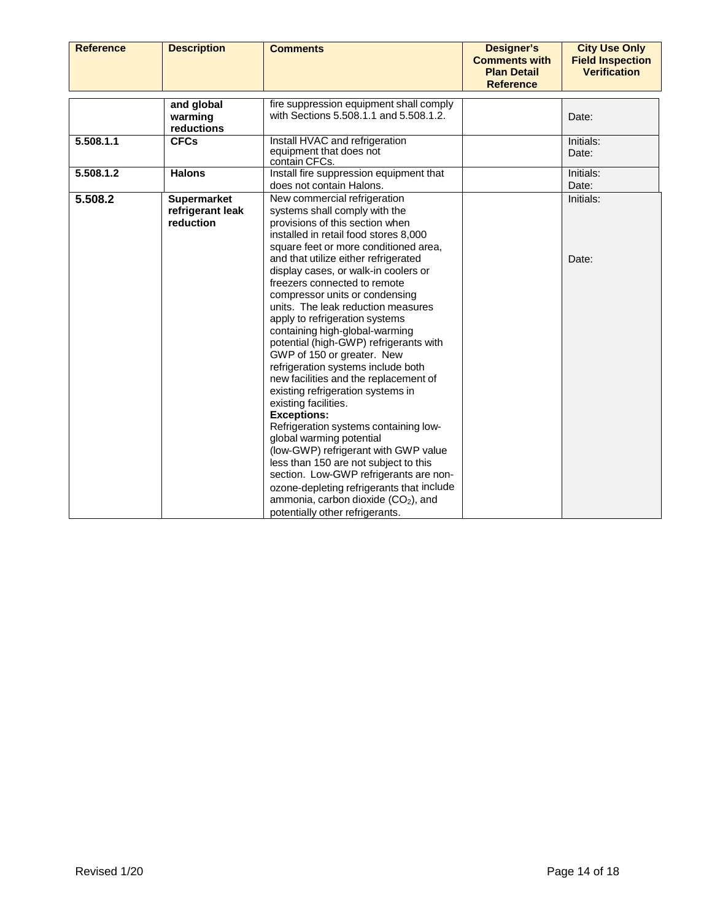| <b>Reference</b> | <b>Description</b> | <b>Comments</b>                                 | <b>Designer's</b><br><b>Comments with</b> | <b>City Use Only</b><br><b>Field Inspection</b> |
|------------------|--------------------|-------------------------------------------------|-------------------------------------------|-------------------------------------------------|
|                  |                    |                                                 | <b>Plan Detail</b>                        | <b>Verification</b>                             |
|                  |                    |                                                 | <b>Reference</b>                          |                                                 |
|                  | and global         | fire suppression equipment shall comply         |                                           |                                                 |
|                  | warming            | with Sections 5.508.1.1 and 5.508.1.2.          |                                           | Date:                                           |
|                  | reductions         |                                                 |                                           |                                                 |
| 5.508.1.1        | <b>CFCs</b>        | Install HVAC and refrigeration                  |                                           | Initials:                                       |
|                  |                    | equipment that does not<br>contain CFCs.        |                                           | Date:                                           |
| 5.508.1.2        | <b>Halons</b>      | Install fire suppression equipment that         |                                           | Initials:                                       |
|                  |                    | does not contain Halons.                        |                                           | Date:                                           |
| 5.508.2          | <b>Supermarket</b> | New commercial refrigeration                    |                                           | Initials:                                       |
|                  | refrigerant leak   | systems shall comply with the                   |                                           |                                                 |
|                  | reduction          | provisions of this section when                 |                                           |                                                 |
|                  |                    | installed in retail food stores 8,000           |                                           |                                                 |
|                  |                    | square feet or more conditioned area,           |                                           |                                                 |
|                  |                    | and that utilize either refrigerated            |                                           | Date:                                           |
|                  |                    | display cases, or walk-in coolers or            |                                           |                                                 |
|                  |                    | freezers connected to remote                    |                                           |                                                 |
|                  |                    | compressor units or condensing                  |                                           |                                                 |
|                  |                    | units. The leak reduction measures              |                                           |                                                 |
|                  |                    | apply to refrigeration systems                  |                                           |                                                 |
|                  |                    | containing high-global-warming                  |                                           |                                                 |
|                  |                    | potential (high-GWP) refrigerants with          |                                           |                                                 |
|                  |                    | GWP of 150 or greater. New                      |                                           |                                                 |
|                  |                    | refrigeration systems include both              |                                           |                                                 |
|                  |                    | new facilities and the replacement of           |                                           |                                                 |
|                  |                    | existing refrigeration systems in               |                                           |                                                 |
|                  |                    | existing facilities.                            |                                           |                                                 |
|                  |                    | <b>Exceptions:</b>                              |                                           |                                                 |
|                  |                    | Refrigeration systems containing low-           |                                           |                                                 |
|                  |                    | global warming potential                        |                                           |                                                 |
|                  |                    | (low-GWP) refrigerant with GWP value            |                                           |                                                 |
|                  |                    | less than 150 are not subject to this           |                                           |                                                 |
|                  |                    | section. Low-GWP refrigerants are non-          |                                           |                                                 |
|                  |                    | ozone-depleting refrigerants that include       |                                           |                                                 |
|                  |                    | ammonia, carbon dioxide (CO <sub>2</sub> ), and |                                           |                                                 |
|                  |                    | potentially other refrigerants.                 |                                           |                                                 |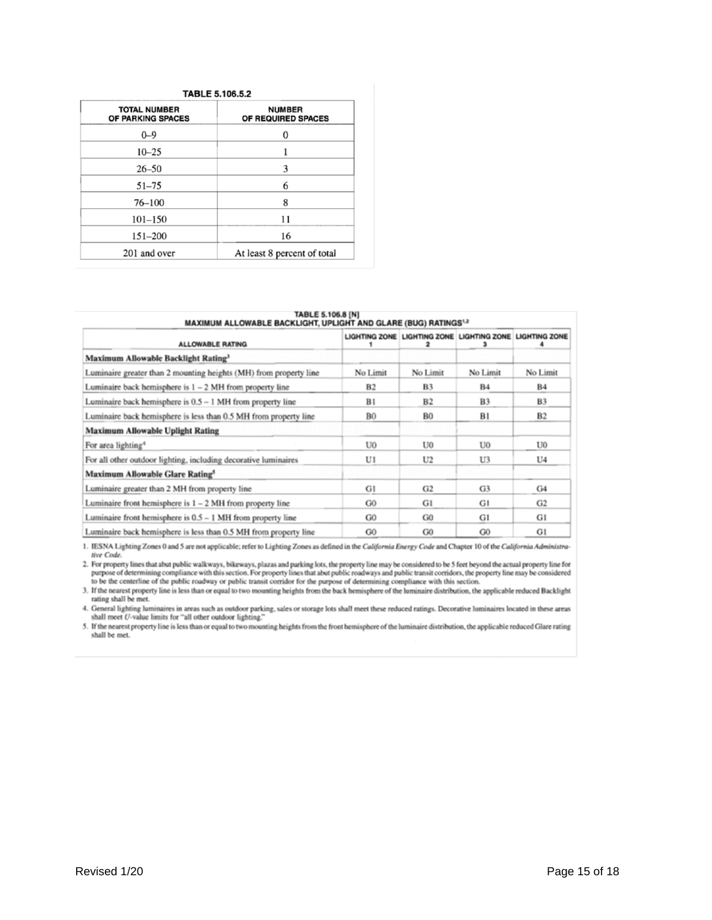| <b>TABLE 5.106.5.2</b>                   |                                     |  |  |
|------------------------------------------|-------------------------------------|--|--|
| <b>TOTAL NUMBER</b><br>OF PARKING SPACES | <b>NUMBER</b><br>OF REQUIRED SPACES |  |  |
| $0 - 9$                                  |                                     |  |  |
| $10 - 25$                                |                                     |  |  |
| $26 - 50$                                | 3                                   |  |  |
| $51 - 75$                                | 6                                   |  |  |
| $76 - 100$                               | 8                                   |  |  |
| $101 - 150$                              | 11                                  |  |  |
| $151 - 200$                              | 16                                  |  |  |
| 201 and over                             | At least 8 percent of total         |  |  |

| TABLE 5.106.8 [N]<br><b>MAXIMUM ALLOWABLE BACKLIGHT, UPLIGHT AND GLARE (BUG) RATINGS13</b> |                |                                                         |                |                |
|--------------------------------------------------------------------------------------------|----------------|---------------------------------------------------------|----------------|----------------|
| <b>ALLOWABLE RATING</b>                                                                    |                | LIGHTING ZONE LIGHTING ZONE LIGHTING ZONE LIGHTING ZONE |                |                |
| Maximum Allowable Backlight Rating <sup>3</sup>                                            |                |                                                         |                |                |
| Luminaire greater than 2 mounting heights (MH) from property line                          | No Limit       | No Limit                                                | No Limit       | No Limit       |
| Luminaire back hemisphere is $1 - 2$ MH from property line                                 | B2             | B <sub>3</sub>                                          | <b>B4</b>      | <b>B4</b>      |
| Luminaire back hemisphere is $0.5 - 1$ MH from property line                               | B1             | B <sub>2</sub>                                          | <b>B3</b>      | <b>B3</b>      |
| Luminaire back hemisphere is less than 0.5 MH from property line                           | <b>B0</b>      | <b>B0</b>                                               | B1             | B <sub>2</sub> |
| <b>Maximum Allowable Uplight Rating</b>                                                    |                |                                                         |                |                |
| For area lighting <sup>4</sup>                                                             | U0             | U0                                                      | U <sub>0</sub> | U <sub>0</sub> |
| For all other outdoor lighting, including decorative luminaires                            | U1             | U <sub>2</sub>                                          | U3             | U <sub>4</sub> |
| <b>Maximum Allowable Glare Rating<sup>®</sup></b>                                          |                |                                                         |                |                |
| Luminaire greater than 2 MH from property line                                             | G1             | G <sub>2</sub>                                          | G3             | G <sub>4</sub> |
| Luminaire front hemisphere is $1 - 2$ MH from property line                                | G <sub>0</sub> | G1                                                      | G1             | G <sub>2</sub> |
| Luminaire front hemisphere is $0.5 - 1$ MH from property line                              | G <sub>0</sub> | G <sub>0</sub>                                          | G1             | G1             |
| Luminaire back hemisphere is less than 0.5 MH from property line                           | G <sub>0</sub> | G <sub>0</sub>                                          | G <sub>0</sub> | G1             |

1. IESNA Lighting Zones 0 and 5 are not applicable; refer to Lighting Zones as defined in the California Energy Code and Chapter 10 of the California Administrative Code.

The country lines that abut public walkways, bikeways, plazas and parking lots, the property line may be considered to be 5 feet beyond the actual property line for<br>2. For property lines that abut public readway or public

rating shall be met.

4. General lighting luminaires in areas such as outdoor parking, sales or storage lots shall meet these reduced ratings. Decorative luminaires located in these areas shall meet U-value limits for "all other outdoor lightin

5. If the nearest property line is less than or equal to two mounting heights from the front hemisphere of the luminaire distribution, the applicable reduced Glare rating shall be met.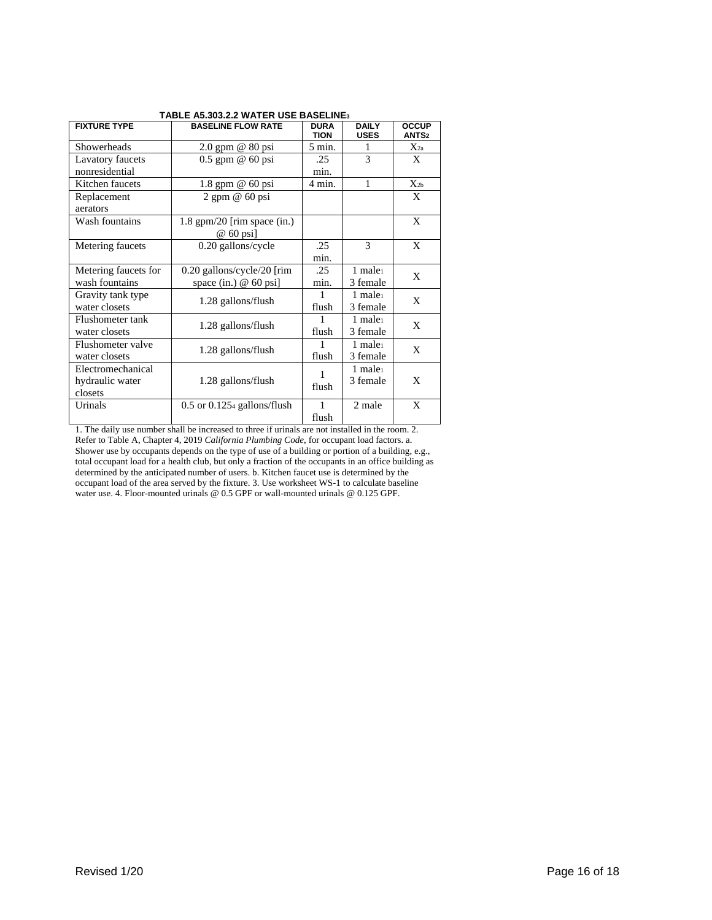| <b>FIXTURE TYPE</b>  | <b>BASELINE FLOW RATE</b>       | <b>DURA</b><br><b>TION</b> | <b>DAILY</b><br><b>USES</b> | <b>OCCUP</b><br>ANTS <sub>2</sub> |
|----------------------|---------------------------------|----------------------------|-----------------------------|-----------------------------------|
| Showerheads          | $2.0$ gpm $@$ 80 psi            | 5 min.                     | 1                           | $X_{2a}$                          |
| Lavatory faucets     | $0.5$ gpm $@$ 60 psi            | .25                        | $\overline{\mathcal{E}}$    | X                                 |
| nonresidential       |                                 | min.                       |                             |                                   |
| Kitchen faucets      | 1.8 gpm @ 60 psi                | 4 min.                     | 1                           | $X_{2b}$                          |
| Replacement          | $2$ gpm $@$ 60 psi              |                            |                             | X                                 |
| aerators             |                                 |                            |                             |                                   |
| Wash fountains       | $1.8$ gpm/20 [rim space (in.)   |                            |                             | X                                 |
|                      | $@$ 60 psi                      |                            |                             |                                   |
| Metering faucets     | 0.20 gallons/cycle              | .25                        | $\mathcal{F}$               | X                                 |
|                      |                                 | min.                       |                             |                                   |
| Metering faucets for | 0.20 gallons/cycle/20 [rim]     | .25                        | $1$ male $1$                | X                                 |
| wash fountains       | space (in.) $@60$ psi]          | min.                       | 3 female                    |                                   |
| Gravity tank type    | 1.28 gallons/flush              |                            | $1$ male <sub>1</sub>       | X                                 |
| water closets        |                                 | flush                      | 3 female                    |                                   |
| Flushometer tank     | 1.28 gallons/flush              |                            | $1$ male <sub>1</sub>       | X                                 |
| water closets        |                                 | flush                      | 3 female                    |                                   |
| Flushometer valve    | 1.28 gallons/flush              |                            | $1$ male <sub>1</sub>       | X                                 |
| water closets        |                                 | flush                      | 3 female                    |                                   |
| Electromechanical    |                                 |                            | $1$ male <sub>1</sub>       |                                   |
| hydraulic water      | 1.28 gallons/flush              | flush                      | 3 female                    | X                                 |
| closets              |                                 |                            |                             |                                   |
| Urinals              | $0.5$ or $0.1254$ gallons/flush | $\mathbf{1}$               | 2 male                      | X                                 |
|                      |                                 | flush                      |                             |                                   |

#### **TABLE A5.303.2.2 WATER USE BASELINE3**

1. The daily use number shall be increased to three if urinals are not installed in the room. 2. Refer to Table A, Chapter 4, 2019 *California Plumbing Code*, for occupant load factors. a. Shower use by occupants depends on the type of use of a building or portion of a building, e.g., total occupant load for a health club, but only a fraction of the occupants in an office building as determined by the anticipated number of users. b. Kitchen faucet use is determined by the occupant load of the area served by the fixture. 3. Use worksheet WS-1 to calculate baseline water use. 4. Floor-mounted urinals @ 0.5 GPF or wall-mounted urinals @ 0.125 GPF.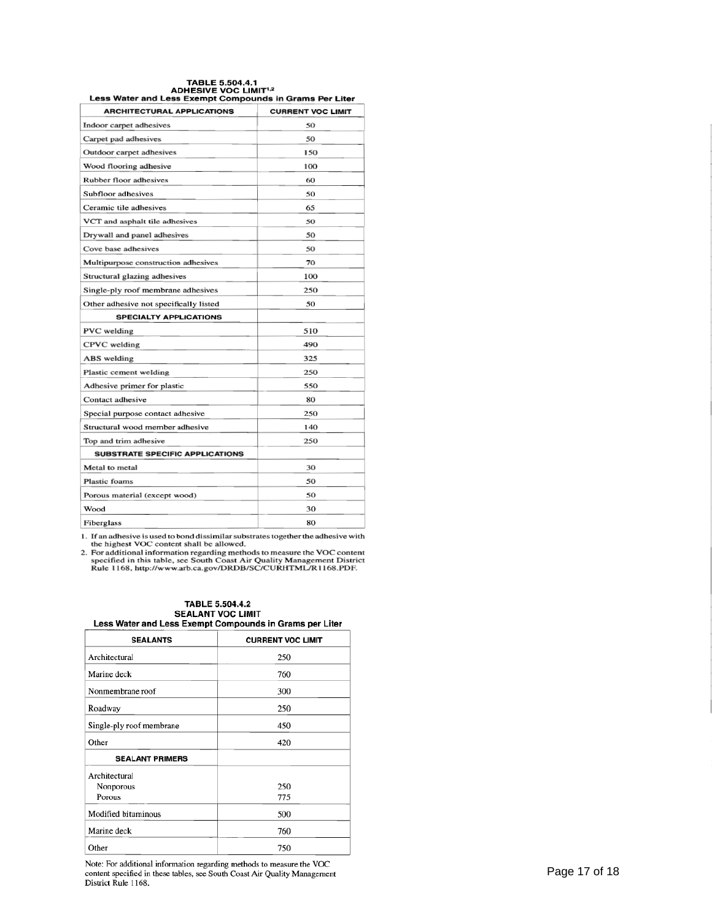# TABLE 5.504.4.1<br>ADHESIVE VOC LIMIT<sup>1,2</sup><br>Less Water and Less Exempt Compounds in Grams Per Liter

| <b>ARCHITECTURAL APPLICATIONS</b>      | <b>CURRENT VOC LIMIT</b> |
|----------------------------------------|--------------------------|
| Indoor carpet adhesives                | 50                       |
| Carpet pad adhesives                   | 50                       |
| Outdoor carpet adhesives               | 150                      |
| Wood flooring adhesive                 | 100                      |
| Rubber floor adhesives                 | 60                       |
| Subfloor adhesives                     | 50                       |
| Ceramic tile adhesives                 | 65                       |
| VCT and asphalt tile adhesives         | 50                       |
| Drywall and panel adhesives            | 50                       |
| Cove base adhesives                    | 50                       |
| Multipurpose construction adhesives    | 70                       |
| Structural glazing adhesives           | 100                      |
| Single-ply roof membrane adhesives     | 250                      |
| Other adhesive not specifically listed | 50                       |
| <b>SPECIALTY APPLICATIONS</b>          |                          |
| PVC welding                            | 510                      |
| CPVC welding                           | 490                      |
| ABS welding                            | 325                      |
| Plastic cement welding                 | 250                      |
| Adhesive primer for plastic            | 550                      |
| Contact adhesive                       | 80                       |
| Special purpose contact adhesive       | 250                      |
| Structural wood member adhesive        | 140                      |
| Top and trim adhesive                  | 250                      |
| <b>SUBSTRATE SPECIFIC APPLICATIONS</b> |                          |
| Metal to metal                         | 30                       |
| <b>Plastic foams</b>                   | 50                       |
| Porous material (except wood)          | 50                       |
| Wood                                   | 30                       |
| Fiberglass                             | 80                       |

1. If an adhesive is used to bond dissimilar substrates together the adhesive with<br>the highest VOC content shall be allowed.<br>2. For additional information regarding methods to measure the VOC content<br>specified in this tab

| <b>TABLE 5.504.4.2</b>                                  |  |
|---------------------------------------------------------|--|
| <b>SEALANT VOC LIMIT</b>                                |  |
| Less Water and Less Exempt Compounds in Grams per Liter |  |

| <b>SEALANTS</b>          | <b>CURRENT VOC LIMIT</b> |  |
|--------------------------|--------------------------|--|
| Architectural            | 250                      |  |
| Marine deck              | 760                      |  |
| Nonmembrane roof         | 300                      |  |
| Roadway                  | 250                      |  |
| Single-ply roof membrane | 450                      |  |
| Other                    | 420                      |  |
| <b>SEALANT PRIMERS</b>   |                          |  |
| Architectural            |                          |  |
| Nonporous                | 250                      |  |
| Porous                   | 775                      |  |
| Modified bituminous      | 500                      |  |
| Marine deck              | 760                      |  |
| Other                    | 750                      |  |

Note: For additional information regarding methods to measure the VOC<br>content specified in these tables, see South Coast Air Quality Management<br>District Rule 1168.